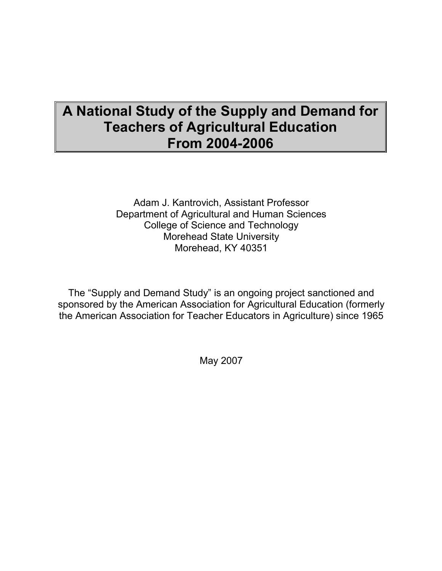# A National Study of the Supply and Demand for Teachers of Agricultural Education From 2004-2006

Adam J. Kantrovich, Assistant Professor Department of Agricultural and Human Sciences College of Science and Technology Morehead State University Morehead, KY 40351

The "Supply and Demand Study" is an ongoing project sanctioned and sponsored by the American Association for Agricultural Education (formerly the American Association for Teacher Educators in Agriculture) since 1965

May 2007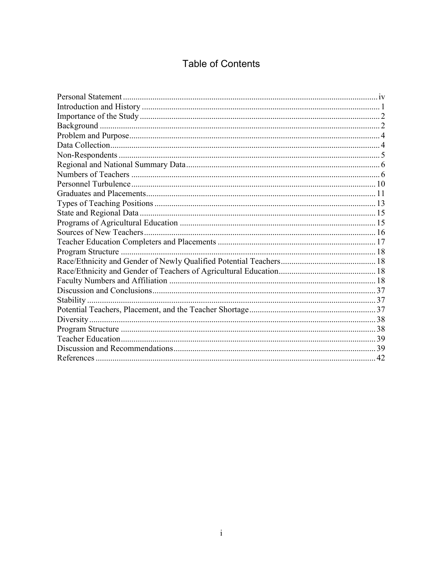## **Table of Contents**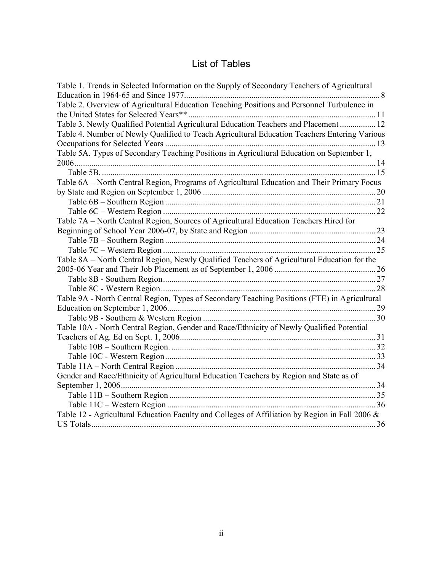## List of Tables

| Table 1. Trends in Selected Information on the Supply of Secondary Teachers of Agricultural    |  |
|------------------------------------------------------------------------------------------------|--|
|                                                                                                |  |
| Table 2. Overview of Agricultural Education Teaching Positions and Personnel Turbulence in     |  |
|                                                                                                |  |
| Table 3. Newly Qualified Potential Agricultural Education Teachers and Placement  12           |  |
| Table 4. Number of Newly Qualified to Teach Agricultural Education Teachers Entering Various   |  |
|                                                                                                |  |
| Table 5A. Types of Secondary Teaching Positions in Agricultural Education on September 1,      |  |
|                                                                                                |  |
|                                                                                                |  |
| Table 6A - North Central Region, Programs of Agricultural Education and Their Primary Focus    |  |
|                                                                                                |  |
|                                                                                                |  |
|                                                                                                |  |
| Table 7A - North Central Region, Sources of Agricultural Education Teachers Hired for          |  |
|                                                                                                |  |
|                                                                                                |  |
|                                                                                                |  |
| Table 8A – North Central Region, Newly Qualified Teachers of Agricultural Education for the    |  |
|                                                                                                |  |
|                                                                                                |  |
|                                                                                                |  |
| Table 9A - North Central Region, Types of Secondary Teaching Positions (FTE) in Agricultural   |  |
|                                                                                                |  |
|                                                                                                |  |
| Table 10A - North Central Region, Gender and Race/Ethnicity of Newly Qualified Potential       |  |
|                                                                                                |  |
|                                                                                                |  |
|                                                                                                |  |
|                                                                                                |  |
| Gender and Race/Ethnicity of Agricultural Education Teachers by Region and State as of         |  |
|                                                                                                |  |
|                                                                                                |  |
|                                                                                                |  |
| Table 12 - Agricultural Education Faculty and Colleges of Affiliation by Region in Fall 2006 & |  |
|                                                                                                |  |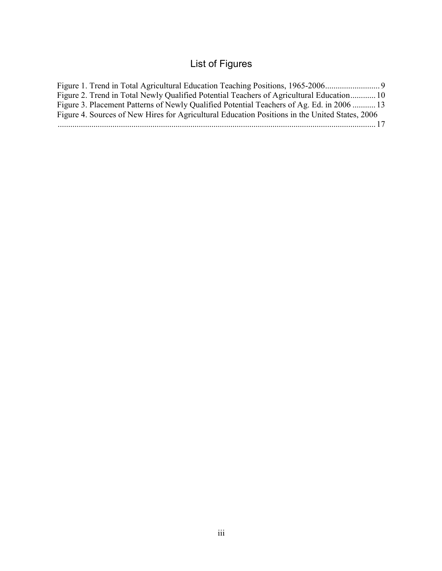# List of Figures

| Figure 1. Trend in Total Agricultural Education Teaching Positions, 1965-2006                  |  |
|------------------------------------------------------------------------------------------------|--|
| Figure 2. Trend in Total Newly Qualified Potential Teachers of Agricultural Education 10       |  |
| Figure 3. Placement Patterns of Newly Qualified Potential Teachers of Ag. Ed. in 2006  13      |  |
| Figure 4. Sources of New Hires for Agricultural Education Positions in the United States, 2006 |  |
|                                                                                                |  |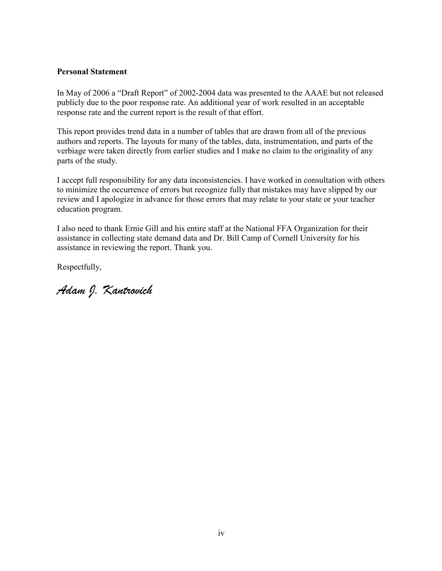#### Personal Statement

In May of 2006 a "Draft Report" of 2002-2004 data was presented to the AAAE but not released publicly due to the poor response rate. An additional year of work resulted in an acceptable response rate and the current report is the result of that effort.

This report provides trend data in a number of tables that are drawn from all of the previous authors and reports. The layouts for many of the tables, data, instrumentation, and parts of the verbiage were taken directly from earlier studies and I make no claim to the originality of any parts of the study.

I accept full responsibility for any data inconsistencies. I have worked in consultation with others to minimize the occurrence of errors but recognize fully that mistakes may have slipped by our review and I apologize in advance for those errors that may relate to your state or your teacher education program.

I also need to thank Ernie Gill and his entire staff at the National FFA Organization for their assistance in collecting state demand data and Dr. Bill Camp of Cornell University for his assistance in reviewing the report. Thank you.

Respectfully,

Adam J. Kantrovich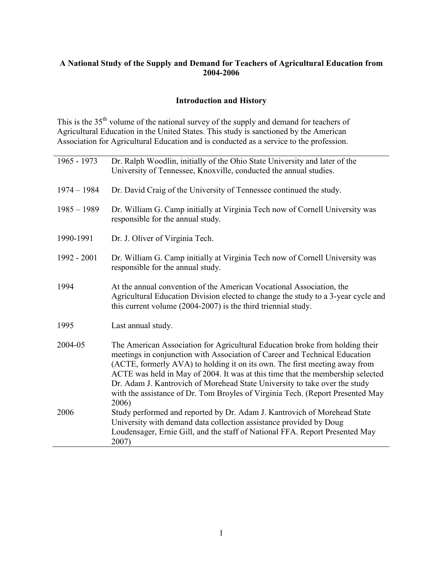## A National Study of the Supply and Demand for Teachers of Agricultural Education from 2004-2006

## Introduction and History

This is the 35<sup>th</sup> volume of the national survey of the supply and demand for teachers of Agricultural Education in the United States. This study is sanctioned by the American Association for Agricultural Education and is conducted as a service to the profession.

| 1965 - 1973   | Dr. Ralph Woodlin, initially of the Ohio State University and later of the<br>University of Tennessee, Knoxville, conducted the annual studies.                                                                                                                                                                                                                                                                                                                                                     |
|---------------|-----------------------------------------------------------------------------------------------------------------------------------------------------------------------------------------------------------------------------------------------------------------------------------------------------------------------------------------------------------------------------------------------------------------------------------------------------------------------------------------------------|
| $1974 - 1984$ | Dr. David Craig of the University of Tennessee continued the study.                                                                                                                                                                                                                                                                                                                                                                                                                                 |
| $1985 - 1989$ | Dr. William G. Camp initially at Virginia Tech now of Cornell University was<br>responsible for the annual study.                                                                                                                                                                                                                                                                                                                                                                                   |
| 1990-1991     | Dr. J. Oliver of Virginia Tech.                                                                                                                                                                                                                                                                                                                                                                                                                                                                     |
| 1992 - 2001   | Dr. William G. Camp initially at Virginia Tech now of Cornell University was<br>responsible for the annual study.                                                                                                                                                                                                                                                                                                                                                                                   |
| 1994          | At the annual convention of the American Vocational Association, the<br>Agricultural Education Division elected to change the study to a 3-year cycle and<br>this current volume (2004-2007) is the third triennial study.                                                                                                                                                                                                                                                                          |
| 1995          | Last annual study.                                                                                                                                                                                                                                                                                                                                                                                                                                                                                  |
| 2004-05       | The American Association for Agricultural Education broke from holding their<br>meetings in conjunction with Association of Career and Technical Education<br>(ACTE, formerly AVA) to holding it on its own. The first meeting away from<br>ACTE was held in May of 2004. It was at this time that the membership selected<br>Dr. Adam J. Kantrovich of Morehead State University to take over the study<br>with the assistance of Dr. Tom Broyles of Virginia Tech. (Report Presented May<br>2006) |
| 2006          | Study performed and reported by Dr. Adam J. Kantrovich of Morehead State<br>University with demand data collection assistance provided by Doug<br>Loudensager, Ernie Gill, and the staff of National FFA. Report Presented May<br>2007)                                                                                                                                                                                                                                                             |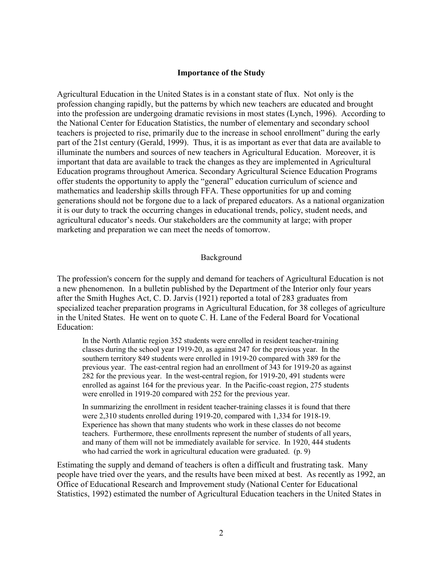#### Importance of the Study

Agricultural Education in the United States is in a constant state of flux. Not only is the profession changing rapidly, but the patterns by which new teachers are educated and brought into the profession are undergoing dramatic revisions in most states (Lynch, 1996). According to the National Center for Education Statistics, the number of elementary and secondary school teachers is projected to rise, primarily due to the increase in school enrollment" during the early part of the 21st century (Gerald, 1999). Thus, it is as important as ever that data are available to illuminate the numbers and sources of new teachers in Agricultural Education. Moreover, it is important that data are available to track the changes as they are implemented in Agricultural Education programs throughout America. Secondary Agricultural Science Education Programs offer students the opportunity to apply the "general" education curriculum of science and mathematics and leadership skills through FFA. These opportunities for up and coming generations should not be forgone due to a lack of prepared educators. As a national organization it is our duty to track the occurring changes in educational trends, policy, student needs, and agricultural educator's needs. Our stakeholders are the community at large; with proper marketing and preparation we can meet the needs of tomorrow.

#### Background

The profession's concern for the supply and demand for teachers of Agricultural Education is not a new phenomenon. In a bulletin published by the Department of the Interior only four years after the Smith Hughes Act, C. D. Jarvis (1921) reported a total of 283 graduates from specialized teacher preparation programs in Agricultural Education, for 38 colleges of agriculture in the United States. He went on to quote C. H. Lane of the Federal Board for Vocational Education:

In the North Atlantic region 352 students were enrolled in resident teacher-training classes during the school year 1919-20, as against 247 for the previous year. In the southern territory 849 students were enrolled in 1919-20 compared with 389 for the previous year. The east-central region had an enrollment of 343 for 1919-20 as against 282 for the previous year. In the west-central region, for 1919-20, 491 students were enrolled as against 164 for the previous year. In the Pacific-coast region, 275 students were enrolled in 1919-20 compared with 252 for the previous year.

In summarizing the enrollment in resident teacher-training classes it is found that there were 2,310 students enrolled during 1919-20, compared with 1,334 for 1918-19. Experience has shown that many students who work in these classes do not become teachers. Furthermore, these enrollments represent the number of students of all years, and many of them will not be immediately available for service. In 1920, 444 students who had carried the work in agricultural education were graduated. (p. 9)

Estimating the supply and demand of teachers is often a difficult and frustrating task. Many people have tried over the years, and the results have been mixed at best. As recently as 1992, an Office of Educational Research and Improvement study (National Center for Educational Statistics, 1992) estimated the number of Agricultural Education teachers in the United States in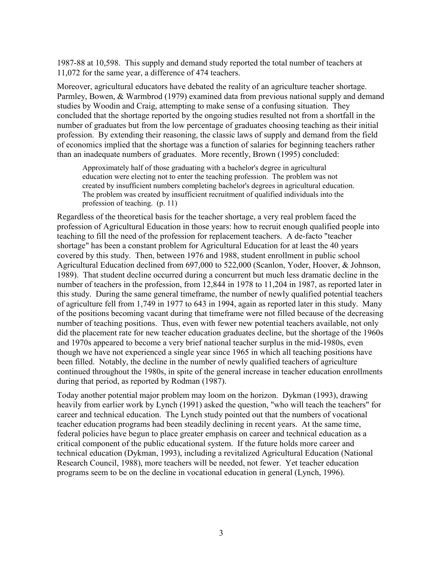1987-88 at 10,598. This supply and demand study reported the total number of teachers at 11,072 for the same year, a difference of 474 teachers.

Moreover, agricultural educators have debated the reality of an agriculture teacher shortage. Parmley, Bowen, & Warmbrod (1979) examined data from previous national supply and demand studies by Woodin and Craig, attempting to make sense of a confusing situation. They concluded that the shortage reported by the ongoing studies resulted not from a shortfall in the number of graduates but from the low percentage of graduates choosing teaching as their initial profession. By extending their reasoning, the classic laws of supply and demand from the field of economics implied that the shortage was a function of salaries for beginning teachers rather than an inadequate numbers of graduates. More recently, Brown (1995) concluded:

Approximately half of those graduating with a bachelor's degree in agricultural education were electing not to enter the teaching profession. The problem was not created by insufficient numbers completing bachelor's degrees in agricultural education. The problem was created by insufficient recruitment of qualified individuals into the profession of teaching. (p. 11)

Regardless of the theoretical basis for the teacher shortage, a very real problem faced the profession of Agricultural Education in those years: how to recruit enough qualified people into teaching to fill the need of the profession for replacement teachers. A de-facto "teacher shortage" has been a constant problem for Agricultural Education for at least the 40 years covered by this study. Then, between 1976 and 1988, student enrollment in public school Agricultural Education declined from 697,000 to 522,000 (Scanlon, Yoder, Hoover, & Johnson, 1989). That student decline occurred during a concurrent but much less dramatic decline in the number of teachers in the profession, from 12,844 in 1978 to 11,204 in 1987, as reported later in this study. During the same general timeframe, the number of newly qualified potential teachers of agriculture fell from 1,749 in 1977 to 643 in 1994, again as reported later in this study. Many of the positions becoming vacant during that timeframe were not filled because of the decreasing number of teaching positions. Thus, even with fewer new potential teachers available, not only did the placement rate for new teacher education graduates decline, but the shortage of the 1960s and 1970s appeared to become a very brief national teacher surplus in the mid-1980s, even though we have not experienced a single year since 1965 in which all teaching positions have been filled. Notably, the decline in the number of newly qualified teachers of agriculture continued throughout the 1980s, in spite of the general increase in teacher education enrollments during that period, as reported by Rodman (1987).

Today another potential major problem may loom on the horizon. Dykman (1993), drawing heavily from earlier work by Lynch (1991) asked the question, "who will teach the teachers" for career and technical education. The Lynch study pointed out that the numbers of vocational teacher education programs had been steadily declining in recent years. At the same time, federal policies have begun to place greater emphasis on career and technical education as a critical component of the public educational system. If the future holds more career and technical education (Dykman, 1993), including a revitalized Agricultural Education (National Research Council, 1988), more teachers will be needed, not fewer. Yet teacher education programs seem to be on the decline in vocational education in general (Lynch, 1996).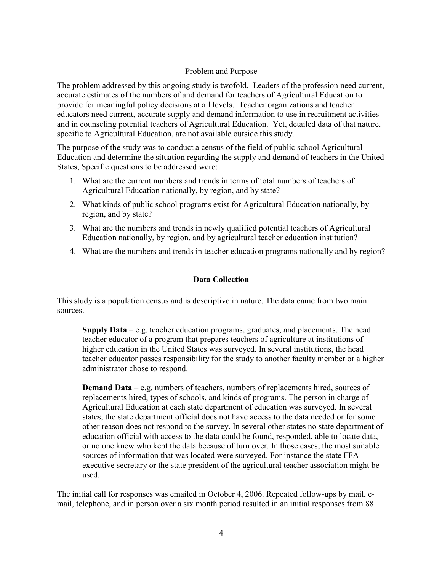#### Problem and Purpose

The problem addressed by this ongoing study is twofold. Leaders of the profession need current, accurate estimates of the numbers of and demand for teachers of Agricultural Education to provide for meaningful policy decisions at all levels. Teacher organizations and teacher educators need current, accurate supply and demand information to use in recruitment activities and in counseling potential teachers of Agricultural Education. Yet, detailed data of that nature, specific to Agricultural Education, are not available outside this study.

The purpose of the study was to conduct a census of the field of public school Agricultural Education and determine the situation regarding the supply and demand of teachers in the United States, Specific questions to be addressed were:

- 1. What are the current numbers and trends in terms of total numbers of teachers of Agricultural Education nationally, by region, and by state?
- 2. What kinds of public school programs exist for Agricultural Education nationally, by region, and by state?
- 3. What are the numbers and trends in newly qualified potential teachers of Agricultural Education nationally, by region, and by agricultural teacher education institution?
- 4. What are the numbers and trends in teacher education programs nationally and by region?

## Data Collection

This study is a population census and is descriptive in nature. The data came from two main sources.

Supply Data – e.g. teacher education programs, graduates, and placements. The head teacher educator of a program that prepares teachers of agriculture at institutions of higher education in the United States was surveyed. In several institutions, the head teacher educator passes responsibility for the study to another faculty member or a higher administrator chose to respond.

Demand Data – e.g. numbers of teachers, numbers of replacements hired, sources of replacements hired, types of schools, and kinds of programs. The person in charge of Agricultural Education at each state department of education was surveyed. In several states, the state department official does not have access to the data needed or for some other reason does not respond to the survey. In several other states no state department of education official with access to the data could be found, responded, able to locate data, or no one knew who kept the data because of turn over. In those cases, the most suitable sources of information that was located were surveyed. For instance the state FFA executive secretary or the state president of the agricultural teacher association might be used.

The initial call for responses was emailed in October 4, 2006. Repeated follow-ups by mail, email, telephone, and in person over a six month period resulted in an initial responses from 88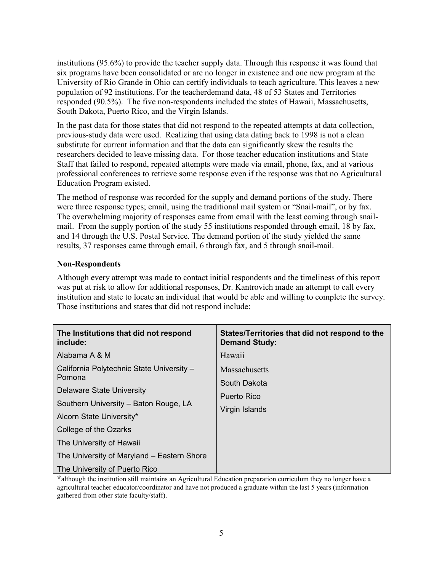institutions (95.6%) to provide the teacher supply data. Through this response it was found that six programs have been consolidated or are no longer in existence and one new program at the University of Rio Grande in Ohio can certify individuals to teach agriculture. This leaves a new population of 92 institutions. For the teacherdemand data, 48 of 53 States and Territories responded (90.5%). The five non-respondents included the states of Hawaii, Massachusetts, South Dakota, Puerto Rico, and the Virgin Islands.

In the past data for those states that did not respond to the repeated attempts at data collection, previous-study data were used. Realizing that using data dating back to 1998 is not a clean substitute for current information and that the data can significantly skew the results the researchers decided to leave missing data. For those teacher education institutions and State Staff that failed to respond, repeated attempts were made via email, phone, fax, and at various professional conferences to retrieve some response even if the response was that no Agricultural Education Program existed.

The method of response was recorded for the supply and demand portions of the study. There were three response types; email, using the traditional mail system or "Snail-mail", or by fax. The overwhelming majority of responses came from email with the least coming through snailmail. From the supply portion of the study 55 institutions responded through email, 18 by fax, and 14 through the U.S. Postal Service. The demand portion of the study yielded the same results, 37 responses came through email, 6 through fax, and 5 through snail-mail.

## Non-Respondents

Although every attempt was made to contact initial respondents and the timeliness of this report was put at risk to allow for additional responses, Dr. Kantrovich made an attempt to call every institution and state to locate an individual that would be able and willing to complete the survey. Those institutions and states that did not respond include:

| The Institutions that did not respond<br>include:                 | States/Territories that did not respond to the<br><b>Demand Study:</b> |
|-------------------------------------------------------------------|------------------------------------------------------------------------|
| Alabama A & M                                                     | Hawaii                                                                 |
| California Polytechnic State University -<br>Pomona               | Massachusetts<br>South Dakota                                          |
| Delaware State University                                         | Puerto Rico                                                            |
| Southern University - Baton Rouge, LA<br>Alcorn State University* | Virgin Islands                                                         |
| College of the Ozarks                                             |                                                                        |
| The University of Hawaii                                          |                                                                        |
| The University of Maryland – Eastern Shore                        |                                                                        |
| The University of Puerto Rico                                     |                                                                        |

\*although the institution still maintains an Agricultural Education preparation curriculum they no longer have a agricultural teacher educator/coordinator and have not produced a graduate within the last 5 years (information gathered from other state faculty/staff).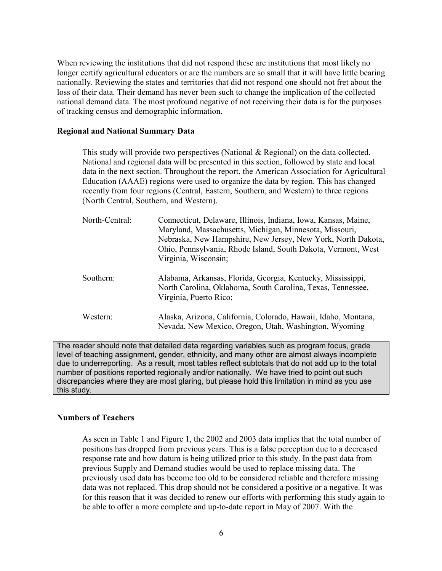When reviewing the institutions that did not respond these are institutions that most likely no longer certify agricultural educators or are the numbers are so small that it will have little bearing nationally. Reviewing the states and territories that did not respond one should not fret about the loss of their data. Their demand has never been such to change the implication of the collected national demand data. The most profound negative of not receiving their data is for the purposes of tracking census and demographic information.

#### Regional and National Summary Data

This study will provide two perspectives (National & Regional) on the data collected. National and regional data will be presented in this section, followed by state and local data in the next section. Throughout the report, the American Association for Agricultural Education (AAAE) regions were used to organize the data by region. This has changed recently from four regions (Central, Eastern, Southern, and Western) to three regions (North Central, Southern, and Western).

| North-Central: | Connecticut, Delaware, Illinois, Indiana, Iowa, Kansas, Maine,<br>Maryland, Massachusetts, Michigan, Minnesota, Missouri,<br>Nebraska, New Hampshire, New Jersey, New York, North Dakota,<br>Ohio, Pennsylvania, Rhode Island, South Dakota, Vermont, West<br>Virginia, Wisconsin; |
|----------------|------------------------------------------------------------------------------------------------------------------------------------------------------------------------------------------------------------------------------------------------------------------------------------|
| Southern:      | Alabama, Arkansas, Florida, Georgia, Kentucky, Mississippi,<br>North Carolina, Oklahoma, South Carolina, Texas, Tennessee,<br>Virginia, Puerto Rico;                                                                                                                               |
| Western:       | Alaska, Arizona, California, Colorado, Hawaii, Idaho, Montana,<br>Nevada, New Mexico, Oregon, Utah, Washington, Wyoming                                                                                                                                                            |

The reader should note that detailed data regarding variables such as program focus, grade level of teaching assignment, gender, ethnicity, and many other are almost always incomplete due to underreporting. As a result, most tables reflect subtotals that do not add up to the total number of positions reported regionally and/or nationally. We have tried to point out such discrepancies where they are most glaring, but please hold this limitation in mind as you use this study.

#### Numbers of Teachers

As seen in Table 1 and Figure 1, the 2002 and 2003 data implies that the total number of positions has dropped from previous years. This is a false perception due to a decreased response rate and how datum is being utilized prior to this study. In the past data from previous Supply and Demand studies would be used to replace missing data. The previously used data has become too old to be considered reliable and therefore missing data was not replaced. This drop should not be considered a positive or a negative. It was for this reason that it was decided to renew our efforts with performing this study again to be able to offer a more complete and up-to-date report in May of 2007. With the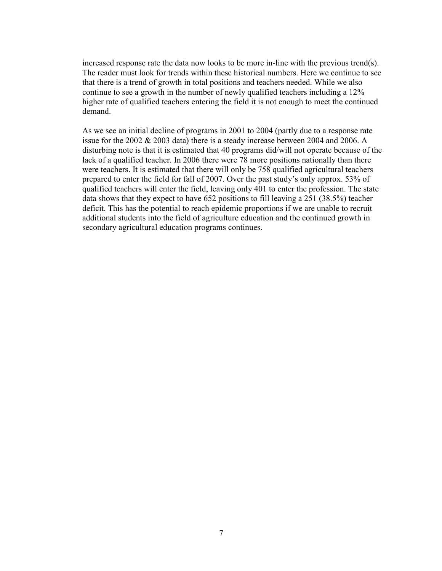increased response rate the data now looks to be more in-line with the previous trend(s). The reader must look for trends within these historical numbers. Here we continue to see that there is a trend of growth in total positions and teachers needed. While we also continue to see a growth in the number of newly qualified teachers including a 12% higher rate of qualified teachers entering the field it is not enough to meet the continued demand.

As we see an initial decline of programs in 2001 to 2004 (partly due to a response rate issue for the 2002 & 2003 data) there is a steady increase between 2004 and 2006. A disturbing note is that it is estimated that 40 programs did/will not operate because of the lack of a qualified teacher. In 2006 there were 78 more positions nationally than there were teachers. It is estimated that there will only be 758 qualified agricultural teachers prepared to enter the field for fall of 2007. Over the past study's only approx. 53% of qualified teachers will enter the field, leaving only 401 to enter the profession. The state data shows that they expect to have 652 positions to fill leaving a 251 (38.5%) teacher deficit. This has the potential to reach epidemic proportions if we are unable to recruit additional students into the field of agriculture education and the continued growth in secondary agricultural education programs continues.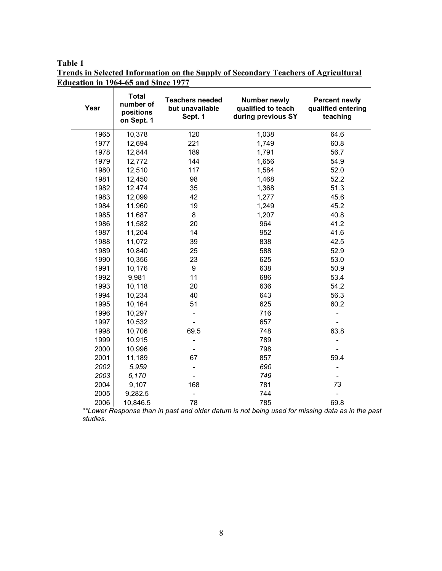Table 1

Trends in Selected Information on the Supply of Secondary Teachers of Agricultural Education in 1964-65 and Since 1977

| Year | <b>Total</b><br>number of<br>positions<br>on Sept. 1 | <b>Teachers needed</b><br>but unavailable<br>Sept. 1 | <b>Number newly</b><br>qualified to teach<br>during previous SY | <b>Percent newly</b><br>qualified entering<br>teaching |
|------|------------------------------------------------------|------------------------------------------------------|-----------------------------------------------------------------|--------------------------------------------------------|
| 1965 | 10,378                                               | 120                                                  | 1,038                                                           | 64.6                                                   |
| 1977 | 12,694                                               | 221                                                  | 1,749                                                           | 60.8                                                   |
| 1978 | 12,844                                               | 189                                                  | 1,791                                                           | 56.7                                                   |
| 1979 | 12,772                                               | 144                                                  | 1,656                                                           | 54.9                                                   |
| 1980 | 12,510                                               | 117                                                  | 1,584                                                           | 52.0                                                   |
| 1981 | 12,450                                               | 98                                                   | 1,468                                                           | 52.2                                                   |
| 1982 | 12,474                                               | 35                                                   | 1,368                                                           | 51.3                                                   |
| 1983 | 12,099                                               | 42                                                   | 1,277                                                           | 45.6                                                   |
| 1984 | 11,960                                               | 19                                                   | 1,249                                                           | 45.2                                                   |
| 1985 | 11,687                                               | 8                                                    | 1,207                                                           | 40.8                                                   |
| 1986 | 11,582                                               | 20                                                   | 964                                                             | 41.2                                                   |
| 1987 | 11,204                                               | 14                                                   | 952                                                             | 41.6                                                   |
| 1988 | 11,072                                               | 39                                                   | 838                                                             | 42.5                                                   |
| 1989 | 10,840                                               | 25                                                   | 588                                                             | 52.9                                                   |
| 1990 | 10,356                                               | 23                                                   | 625                                                             | 53.0                                                   |
| 1991 | 10,176                                               | 9                                                    | 638                                                             | 50.9                                                   |
| 1992 | 9,981                                                | 11                                                   | 686                                                             | 53.4                                                   |
| 1993 | 10,118                                               | 20                                                   | 636                                                             | 54.2                                                   |
| 1994 | 10,234                                               | 40                                                   | 643                                                             | 56.3                                                   |
| 1995 | 10,164                                               | 51                                                   | 625                                                             | 60.2                                                   |
| 1996 | 10,297                                               |                                                      | 716                                                             |                                                        |
| 1997 | 10,532                                               |                                                      | 657                                                             |                                                        |
| 1998 | 10,706                                               | 69.5                                                 | 748                                                             | 63.8                                                   |
| 1999 | 10,915                                               |                                                      | 789                                                             |                                                        |
| 2000 | 10,996                                               |                                                      | 798                                                             |                                                        |
| 2001 | 11,189                                               | 67                                                   | 857                                                             | 59.4                                                   |
| 2002 | 5,959                                                |                                                      | 690                                                             |                                                        |
| 2003 | 6,170                                                |                                                      | 749                                                             |                                                        |
| 2004 | 9,107                                                | 168                                                  | 781                                                             | 73                                                     |
| 2005 | 9,282.5                                              |                                                      | 744                                                             |                                                        |
| 2006 | 10,846.5                                             | 78                                                   | 785                                                             | 69.8                                                   |

\*\*Lower Response than in past and older datum is not being used for missing data as in the past studies.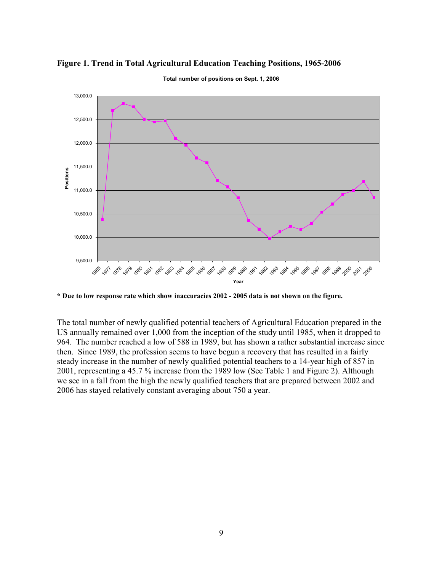

#### Figure 1. Trend in Total Agricultural Education Teaching Positions, 1965-2006

Total number of positions on Sept. 1, 2006

\* Due to low response rate which show inaccuracies 2002 - 2005 data is not shown on the figure.

The total number of newly qualified potential teachers of Agricultural Education prepared in the US annually remained over 1,000 from the inception of the study until 1985, when it dropped to 964. The number reached a low of 588 in 1989, but has shown a rather substantial increase since then. Since 1989, the profession seems to have begun a recovery that has resulted in a fairly steady increase in the number of newly qualified potential teachers to a 14-year high of 857 in 2001, representing a 45.7 % increase from the 1989 low (See Table 1 and Figure 2). Although we see in a fall from the high the newly qualified teachers that are prepared between 2002 and 2006 has stayed relatively constant averaging about 750 a year.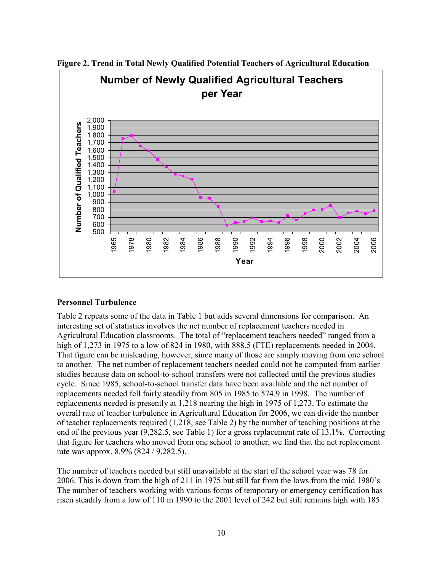

Figure 2. Trend in Total Newly Qualified Potential Teachers of Agricultural Education

#### Personnel Turbulence

Table 2 repeats some of the data in Table 1 but adds several dimensions for comparison. An interesting set of statistics involves the net number of replacement teachers needed in Agricultural Education classrooms. The total of "replacement teachers needed" ranged from a high of 1,273 in 1975 to a low of 824 in 1980, with 888.5 (FTE) replacements needed in 2004. That figure can be misleading, however, since many of those are simply moving from one school to another. The net number of replacement teachers needed could not be computed from earlier studies because data on school-to-school transfers were not collected until the previous studies cycle. Since 1985, school-to-school transfer data have been available and the net number of replacements needed fell fairly steadily from 805 in 1985 to 574.9 in 1998. The number of replacements needed is presently at 1,218 nearing the high in 1975 of 1,273. To estimate the overall rate of teacher turbulence in Agricultural Education for 2006, we can divide the number of teacher replacements required (1,218, see Table 2) by the number of teaching positions at the end of the previous year (9,282.5, see Table 1) for a gross replacement rate of 13.1%. Correcting that figure for teachers who moved from one school to another, we find that the net replacement rate was approx. 8.9% (824 / 9,282.5).

The number of teachers needed but still unavailable at the start of the school year was 78 for 2006. This is down from the high of 211 in 1975 but still far from the lows from the mid 1980's The number of teachers working with various forms of temporary or emergency certification has risen steadily from a low of 110 in 1990 to the 2001 level of 242 but still remains high with 185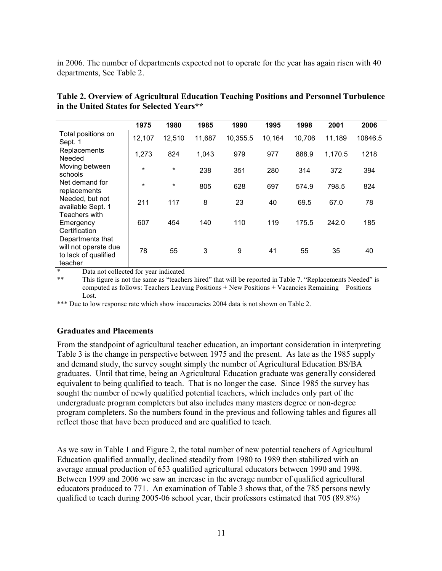in 2006. The number of departments expected not to operate for the year has again risen with 40 departments, See Table 2.

|                                                                             | 1975    | 1980    | 1985   | 1990     | 1995   | 1998   | 2001    | 2006    |
|-----------------------------------------------------------------------------|---------|---------|--------|----------|--------|--------|---------|---------|
| Total positions on<br>Sept. 1                                               | 12,107  | 12,510  | 11,687 | 10,355.5 | 10,164 | 10,706 | 11,189  | 10846.5 |
| Replacements<br>Needed                                                      | 1,273   | 824     | 1,043  | 979      | 977    | 888.9  | 1,170.5 | 1218    |
| Moving between<br>schools                                                   | $\star$ | $\star$ | 238    | 351      | 280    | 314    | 372     | 394     |
| Net demand for<br>replacements                                              | $\star$ | $\star$ | 805    | 628      | 697    | 574.9  | 798.5   | 824     |
| Needed, but not<br>available Sept. 1                                        | 211     | 117     | 8      | 23       | 40     | 69.5   | 67.0    | 78      |
| Teachers with<br>Emergency<br>Certification                                 | 607     | 454     | 140    | 110      | 119    | 175.5  | 242.0   | 185     |
| Departments that<br>will not operate due<br>to lack of qualified<br>teacher | 78      | 55      | 3      | 9        | 41     | 55     | 35      | 40      |

Table 2. Overview of Agricultural Education Teaching Positions and Personnel Turbulence in the United States for Selected Years\*\*

Data not collected for year indicated

\*\* This figure is not the same as "teachers hired" that will be reported in Table 7. "Replacements Needed" is computed as follows: Teachers Leaving Positions + New Positions + Vacancies Remaining – Positions Lost.

\*\*\* Due to low response rate which show inaccuracies 2004 data is not shown on Table 2.

#### Graduates and Placements

From the standpoint of agricultural teacher education, an important consideration in interpreting Table 3 is the change in perspective between 1975 and the present. As late as the 1985 supply and demand study, the survey sought simply the number of Agricultural Education BS/BA graduates. Until that time, being an Agricultural Education graduate was generally considered equivalent to being qualified to teach. That is no longer the case. Since 1985 the survey has sought the number of newly qualified potential teachers, which includes only part of the undergraduate program completers but also includes many masters degree or non-degree program completers. So the numbers found in the previous and following tables and figures all reflect those that have been produced and are qualified to teach.

As we saw in Table 1 and Figure 2, the total number of new potential teachers of Agricultural Education qualified annually, declined steadily from 1980 to 1989 then stabilized with an average annual production of 653 qualified agricultural educators between 1990 and 1998. Between 1999 and 2006 we saw an increase in the average number of qualified agricultural educators produced to 771. An examination of Table 3 shows that, of the 785 persons newly qualified to teach during 2005-06 school year, their professors estimated that 705 (89.8%)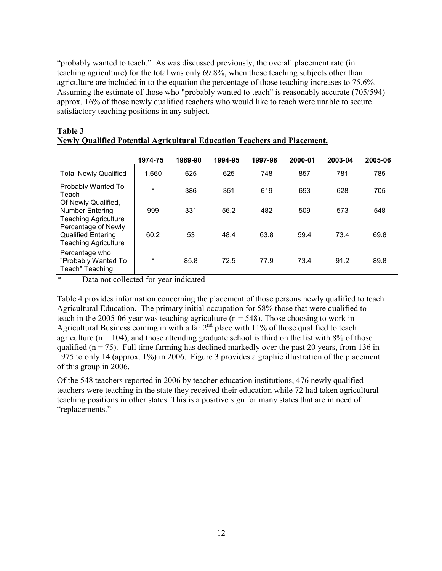"probably wanted to teach." As was discussed previously, the overall placement rate (in teaching agriculture) for the total was only 69.8%, when those teaching subjects other than agriculture are included in to the equation the percentage of those teaching increases to 75.6%. Assuming the estimate of those who "probably wanted to teach" is reasonably accurate (705/594) approx. 16% of those newly qualified teachers who would like to teach were unable to secure satisfactory teaching positions in any subject.

|                                                                                 | 1974-75 | 1989-90 | 1994-95 | 1997-98 | 2000-01 | 2003-04 | 2005-06 |
|---------------------------------------------------------------------------------|---------|---------|---------|---------|---------|---------|---------|
| <b>Total Newly Qualified</b>                                                    | 1,660   | 625     | 625     | 748     | 857     | 781     | 785     |
| Probably Wanted To<br>Teach                                                     | $\star$ | 386     | 351     | 619     | 693     | 628     | 705     |
| Of Newly Qualified,<br>Number Entering<br><b>Teaching Agriculture</b>           | 999     | 331     | 56.2    | 482     | 509     | 573     | 548     |
| Percentage of Newly<br><b>Qualified Entering</b><br><b>Teaching Agriculture</b> | 60.2    | 53      | 48.4    | 63.8    | 59.4    | 73.4    | 69.8    |
| Percentage who<br>"Probably Wanted To<br>Teach" Teaching                        | $\star$ | 85.8    | 72.5    | 77.9    | 73.4    | 91.2    | 89.8    |

#### Table 3 Newly Qualified Potential Agricultural Education Teachers and Placement.

\* Data not collected for year indicated

Table 4 provides information concerning the placement of those persons newly qualified to teach Agricultural Education. The primary initial occupation for 58% those that were qualified to teach in the 2005-06 year was teaching agriculture ( $n = 548$ ). Those choosing to work in Agricultural Business coming in with a far  $2<sup>nd</sup>$  place with 11% of those qualified to teach agriculture ( $n = 104$ ), and those attending graduate school is third on the list with 8% of those qualified ( $n = 75$ ). Full time farming has declined markedly over the past 20 years, from 136 in 1975 to only 14 (approx. 1%) in 2006. Figure 3 provides a graphic illustration of the placement of this group in 2006.

Of the 548 teachers reported in 2006 by teacher education institutions, 476 newly qualified teachers were teaching in the state they received their education while 72 had taken agricultural teaching positions in other states. This is a positive sign for many states that are in need of "replacements."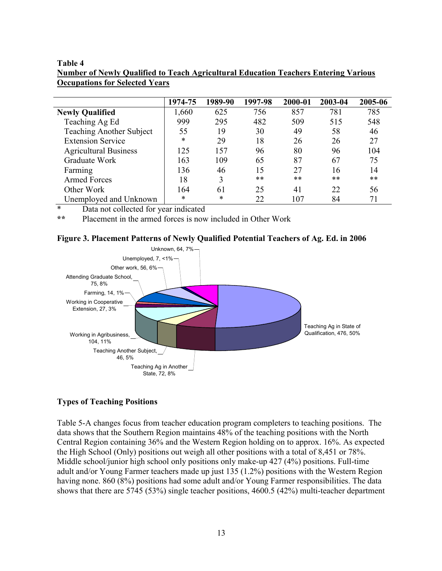#### Table 4

| Number of Newly Qualified to Teach Agricultural Education Teachers Entering Various |  |
|-------------------------------------------------------------------------------------|--|
| <b>Occupations for Selected Years</b>                                               |  |

|                                 | 1974-75 | 1989-90 | 1997-98 | 2000-01 | 2003-04 | 2005-06 |
|---------------------------------|---------|---------|---------|---------|---------|---------|
| <b>Newly Qualified</b>          | 1,660   | 625     | 756     | 857     | 781     | 785     |
| Teaching Ag Ed                  | 999     | 295     | 482     | 509     | 515     | 548     |
| <b>Teaching Another Subject</b> | 55      | 19      | 30      | 49      | 58      | 46      |
| <b>Extension Service</b>        | $\ast$  | 29      | 18      | 26      | 26      | 27      |
| <b>Agricultural Business</b>    | 125     | 157     | 96      | 80      | 96      | 104     |
| Graduate Work                   | 163     | 109     | 65      | 87      | 67      | 75      |
| Farming                         | 136     | 46      | 15      | 27      | 16      | 14      |
| <b>Armed Forces</b>             | 18      | 3       | **      | $***$   | **      | **      |
| Other Work                      | 164     | 61      | 25      | 41      | 22      | 56      |
| Unemployed and Unknown          | *       | *       | 22      | 107     | 84      | 71      |

\* Data not collected for year indicated

\*\* Placement in the armed forces is now included in Other Work





## Types of Teaching Positions

Table 5-A changes focus from teacher education program completers to teaching positions. The data shows that the Southern Region maintains 48% of the teaching positions with the North Central Region containing 36% and the Western Region holding on to approx. 16%. As expected the High School (Only) positions out weigh all other positions with a total of 8,451 or 78%. Middle school/junior high school only positions only make-up 427 (4%) positions. Full-time adult and/or Young Farmer teachers made up just 135 (1.2%) positions with the Western Region having none. 860 (8%) positions had some adult and/or Young Farmer responsibilities. The data shows that there are 5745 (53%) single teacher positions, 4600.5 (42%) multi-teacher department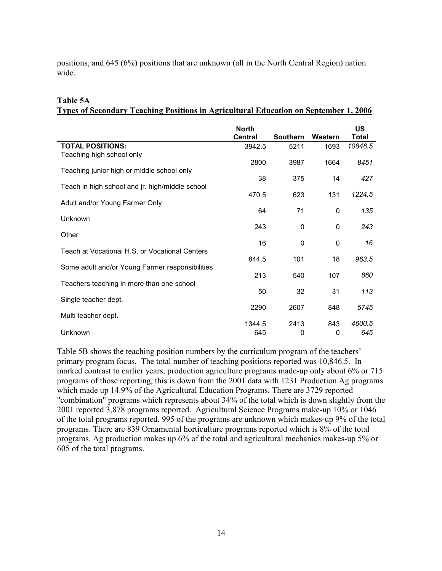positions, and 645 (6%) positions that are unknown (all in the North Central Region) nation wide.

|                                                 | <b>North</b>   |                 |          | <b>US</b> |
|-------------------------------------------------|----------------|-----------------|----------|-----------|
|                                                 | <b>Central</b> | <b>Southern</b> | Western  | Total     |
| <b>TOTAL POSITIONS:</b>                         | 3942.5         | 5211            | 1693     | 10846.5   |
| Teaching high school only                       |                |                 |          |           |
|                                                 | 2800           | 3987            | 1664     | 8451      |
| Teaching junior high or middle school only      |                |                 |          |           |
|                                                 | 38             | 375             | 14       | 427       |
| Teach in high school and jr. high/middle school |                |                 |          |           |
|                                                 | 470.5          | 623             | 131      | 1224.5    |
| Adult and/or Young Farmer Only                  |                |                 |          |           |
|                                                 | 64             | 71              | $\Omega$ | 135       |
| Unknown                                         |                |                 |          |           |
|                                                 | 243            | 0               | 0        | 243       |
| Other                                           |                |                 |          |           |
|                                                 | 16             | 0               | 0        | 16        |
| Teach at Vocational H.S. or Vocational Centers  |                |                 |          |           |
|                                                 | 844.5          | 101             | 18       | 963.5     |
| Some adult and/or Young Farmer responsibilities |                |                 |          |           |
|                                                 | 213            | 540             | 107      | 860       |
| Teachers teaching in more than one school       |                |                 |          |           |
|                                                 | 50             | 32              | 31       | 113       |
| Single teacher dept.                            |                |                 |          |           |
|                                                 | 2290           | 2607            | 848      | 5745      |
| Multi teacher dept.                             |                |                 |          |           |
|                                                 | 1344.5         | 2413            | 843      | 4600.5    |
| Unknown                                         | 645            | 0               | 0        | 645       |
|                                                 |                |                 |          |           |

#### Table 5A Types of Secondary Teaching Positions in Agricultural Education on September 1, 2006

Table 5B shows the teaching position numbers by the curriculum program of the teachers' primary program focus. The total number of teaching positions reported was 10,846.5. In marked contrast to earlier years, production agriculture programs made-up only about 6% or 715 programs of those reporting, this is down from the 2001 data with 1231 Production Ag programs which made up 14.9% of the Agricultural Education Programs. There are 3729 reported "combination" programs which represents about 34% of the total which is down slightly from the 2001 reported 3,878 programs reported. Agricultural Science Programs make-up 10% or 1046 of the total programs reported. 995 of the programs are unknown which makes-up 9% of the total programs. There are 839 Ornamental horticulture programs reported which is 8% of the total programs. Ag production makes up 6% of the total and agricultural mechanics makes-up 5% or 605 of the total programs.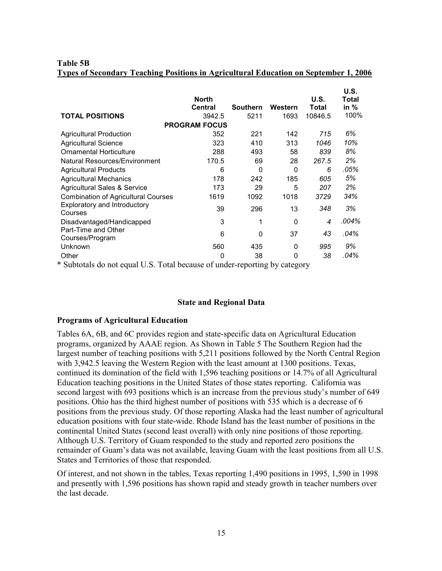#### Table 5B Types of Secondary Teaching Positions in Agricultural Education on September 1, 2006

|                                            | <b>North</b><br><b>Central</b> | <b>Southern</b> | Western | U.S.<br>Total | U.S.<br>Total<br>in $%$ |
|--------------------------------------------|--------------------------------|-----------------|---------|---------------|-------------------------|
| <b>TOTAL POSITIONS</b>                     | 3942.5                         | 5211            | 1693    | 10846.5       | 100%                    |
|                                            | <b>PROGRAM FOCUS</b>           |                 |         |               |                         |
| <b>Agricultural Production</b>             | 352                            | 221             | 142     | 715           | 6%                      |
| <b>Agricultural Science</b>                | 323                            | 410             | 313     | 1046          | 10%                     |
| <b>Ornamental Horticulture</b>             | 288                            | 493             | 58      | 839           | 8%                      |
| Natural Resources/Environment              | 170.5                          | 69              | 28      | 267.5         | 2%                      |
| <b>Agricultural Products</b>               | 6                              | 0               | 0       | 6             | .05%                    |
| <b>Agricultural Mechanics</b>              | 178                            | 242             | 185     | 605           | 5%                      |
| Agricultural Sales & Service               | 173                            | 29              | 5       | 207           | 2%                      |
| <b>Combination of Agricultural Courses</b> | 1619                           | 1092            | 1018    | 3729          | 34%                     |
| Exploratory and Introductory<br>Courses    | 39                             | 296             | 13      | 348           | 3%                      |
| Disadvantaged/Handicapped                  | 3                              | 1               | 0       | 4             | .004%                   |
| Part-Time and Other<br>Courses/Program     | 6                              | 0               | 37      | 43            | .04%                    |
| Unknown                                    | 560                            | 435             | 0       | 995           | 9%                      |
| Other                                      | 0                              | 38              | 0       | 38            | .04%                    |

\* Subtotals do not equal U.S. Total because of under-reporting by category

#### State and Regional Data

#### Programs of Agricultural Education

Tables 6A, 6B, and 6C provides region and state-specific data on Agricultural Education programs, organized by AAAE region. As Shown in Table 5 The Southern Region had the largest number of teaching positions with 5,211 positions followed by the North Central Region with 3,942.5 leaving the Western Region with the least amount at 1300 positions. Texas, continued its domination of the field with 1,596 teaching positions or 14.7% of all Agricultural Education teaching positions in the United States of those states reporting. California was second largest with 693 positions which is an increase from the previous study's number of 649 positions. Ohio has the third highest number of positions with 535 which is a decrease of 6 positions from the previous study. Of those reporting Alaska had the least number of agricultural education positions with four state-wide. Rhode Island has the least number of positions in the continental United States (second least overall) with only nine positions of those reporting. Although U.S. Territory of Guam responded to the study and reported zero positions the remainder of Guam's data was not available, leaving Guam with the least positions from all U.S. States and Territories of those that responded.

Of interest, and not shown in the tables, Texas reporting 1,490 positions in 1995, 1,590 in 1998 and presently with 1,596 positions has shown rapid and steady growth in teacher numbers over the last decade.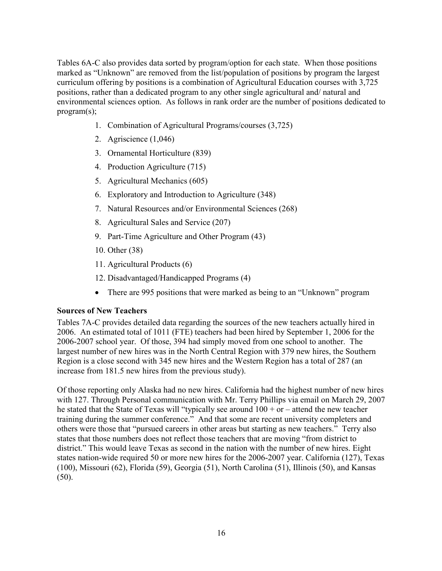Tables 6A-C also provides data sorted by program/option for each state. When those positions marked as "Unknown" are removed from the list/population of positions by program the largest curriculum offering by positions is a combination of Agricultural Education courses with 3,725 positions, rather than a dedicated program to any other single agricultural and/ natural and environmental sciences option. As follows in rank order are the number of positions dedicated to program(s);

- 1. Combination of Agricultural Programs/courses (3,725)
- 2. Agriscience (1,046)
- 3. Ornamental Horticulture (839)
- 4. Production Agriculture (715)
- 5. Agricultural Mechanics (605)
- 6. Exploratory and Introduction to Agriculture (348)
- 7. Natural Resources and/or Environmental Sciences (268)
- 8. Agricultural Sales and Service (207)
- 9. Part-Time Agriculture and Other Program (43)
- 10. Other (38)
- 11. Agricultural Products (6)
- 12. Disadvantaged/Handicapped Programs (4)
- There are 995 positions that were marked as being to an "Unknown" program

#### Sources of New Teachers

Tables 7A-C provides detailed data regarding the sources of the new teachers actually hired in 2006. An estimated total of 1011 (FTE) teachers had been hired by September 1, 2006 for the 2006-2007 school year. Of those, 394 had simply moved from one school to another. The largest number of new hires was in the North Central Region with 379 new hires, the Southern Region is a close second with 345 new hires and the Western Region has a total of 287 (an increase from 181.5 new hires from the previous study).

Of those reporting only Alaska had no new hires. California had the highest number of new hires with 127. Through Personal communication with Mr. Terry Phillips via email on March 29, 2007 he stated that the State of Texas will "typically see around  $100 + or -$  attend the new teacher training during the summer conference." And that some are recent university completers and others were those that "pursued careers in other areas but starting as new teachers." Terry also states that those numbers does not reflect those teachers that are moving "from district to district." This would leave Texas as second in the nation with the number of new hires. Eight states nation-wide required 50 or more new hires for the 2006-2007 year. California (127), Texas (100), Missouri (62), Florida (59), Georgia (51), North Carolina (51), Illinois (50), and Kansas  $(50)$ .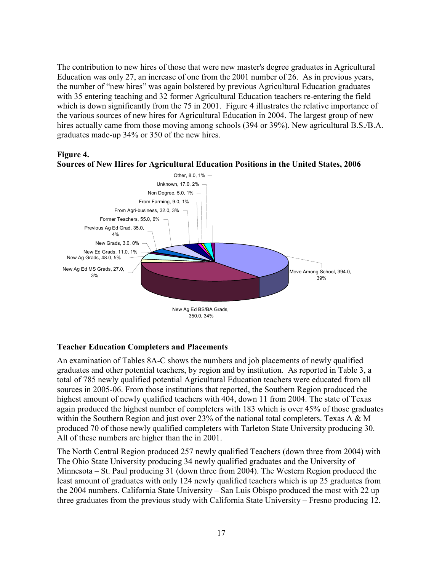The contribution to new hires of those that were new master's degree graduates in Agricultural Education was only 27, an increase of one from the 2001 number of 26. As in previous years, the number of "new hires" was again bolstered by previous Agricultural Education graduates with 35 entering teaching and 32 former Agricultural Education teachers re-entering the field which is down significantly from the 75 in 2001. Figure 4 illustrates the relative importance of the various sources of new hires for Agricultural Education in 2004. The largest group of new hires actually came from those moving among schools (394 or 39%). New agricultural B.S./B.A. graduates made-up 34% or 350 of the new hires.

#### Figure 4.



Sources of New Hires for Agricultural Education Positions in the United States, 2006

#### Teacher Education Completers and Placements

An examination of Tables 8A-C shows the numbers and job placements of newly qualified graduates and other potential teachers, by region and by institution. As reported in Table 3, a total of 785 newly qualified potential Agricultural Education teachers were educated from all sources in 2005-06. From those institutions that reported, the Southern Region produced the highest amount of newly qualified teachers with 404, down 11 from 2004. The state of Texas again produced the highest number of completers with 183 which is over 45% of those graduates within the Southern Region and just over 23% of the national total completers. Texas A  $\& M$ produced 70 of those newly qualified completers with Tarleton State University producing 30. All of these numbers are higher than the in 2001.

The North Central Region produced 257 newly qualified Teachers (down three from 2004) with The Ohio State University producing 34 newly qualified graduates and the University of Minnesota – St. Paul producing 31 (down three from 2004). The Western Region produced the least amount of graduates with only 124 newly qualified teachers which is up 25 graduates from the 2004 numbers. California State University – San Luis Obispo produced the most with 22 up three graduates from the previous study with California State University – Fresno producing 12.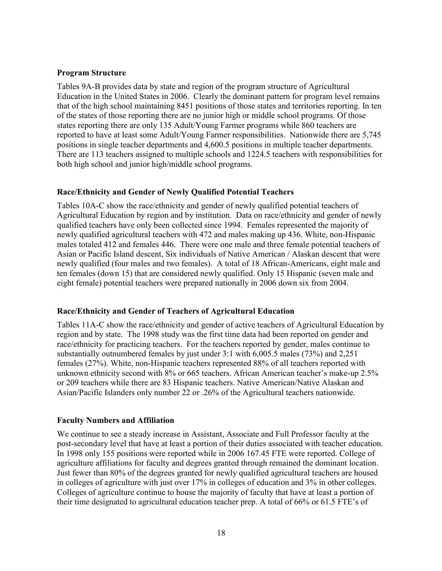#### Program Structure

Tables 9A-B provides data by state and region of the program structure of Agricultural Education in the United States in 2006. Clearly the dominant pattern for program level remains that of the high school maintaining 8451 positions of those states and territories reporting. In ten of the states of those reporting there are no junior high or middle school programs. Of those states reporting there are only 135 Adult/Young Farmer programs while 860 teachers are reported to have at least some Adult/Young Farmer responsibilities. Nationwide there are 5,745 positions in single teacher departments and 4,600.5 positions in multiple teacher departments. There are 113 teachers assigned to multiple schools and 1224.5 teachers with responsibilities for both high school and junior high/middle school programs.

#### Race/Ethnicity and Gender of Newly Qualified Potential Teachers

Tables 10A-C show the race/ethnicity and gender of newly qualified potential teachers of Agricultural Education by region and by institution. Data on race/ethnicity and gender of newly qualified teachers have only been collected since 1994. Females represented the majority of newly qualified agricultural teachers with 472 and males making up 436. White, non-Hispanic males totaled 412 and females 446. There were one male and three female potential teachers of Asian or Pacific Island descent, Six individuals of Native American / Alaskan descent that were newly qualified (four males and two females). A total of 18 African-Americans, eight male and ten females (down 15) that are considered newly qualified. Only 15 Hispanic (seven male and eight female) potential teachers were prepared nationally in 2006 down six from 2004.

#### Race/Ethnicity and Gender of Teachers of Agricultural Education

Tables 11A-C show the race/ethnicity and gender of active teachers of Agricultural Education by region and by state. The 1998 study was the first time data had been reported on gender and race/ethnicity for practicing teachers. For the teachers reported by gender, males continue to substantially outnumbered females by just under 3:1 with 6,005.5 males (73%) and 2,251 females (27%). White, non-Hispanic teachers represented 88% of all teachers reported with unknown ethnicity second with 8% or 665 teachers. African American teacher's make-up 2.5% or 209 teachers while there are 83 Hispanic teachers. Native American/Native Alaskan and Asian/Pacific Islanders only number 22 or .26% of the Agricultural teachers nationwide.

#### Faculty Numbers and Affiliation

We continue to see a steady increase in Assistant, Associate and Full Professor faculty at the post-secondary level that have at least a portion of their duties associated with teacher education. In 1998 only 155 positions were reported while in 2006 167.45 FTE were reported. College of agriculture affiliations for faculty and degrees granted through remained the dominant location. Just fewer than 80% of the degrees granted for newly qualified agricultural teachers are housed in colleges of agriculture with just over 17% in colleges of education and 3% in other colleges. Colleges of agriculture continue to house the majority of faculty that have at least a portion of their time designated to agricultural education teacher prep. A total of 66% or 61.5 FTE's of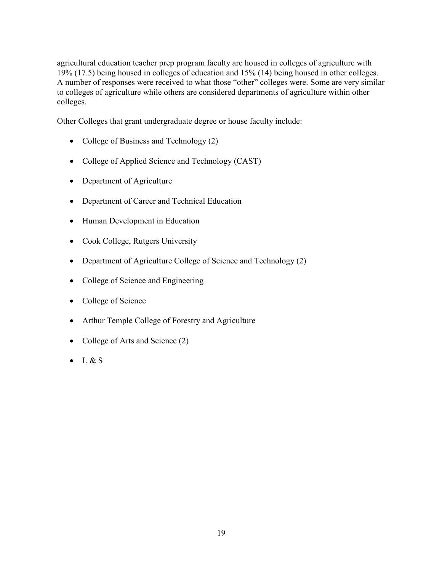agricultural education teacher prep program faculty are housed in colleges of agriculture with 19% (17.5) being housed in colleges of education and 15% (14) being housed in other colleges. A number of responses were received to what those "other" colleges were. Some are very similar to colleges of agriculture while others are considered departments of agriculture within other colleges.

Other Colleges that grant undergraduate degree or house faculty include:

- College of Business and Technology (2)
- College of Applied Science and Technology (CAST)
- Department of Agriculture
- Department of Career and Technical Education
- Human Development in Education
- Cook College, Rutgers University
- Department of Agriculture College of Science and Technology (2)
- College of Science and Engineering
- College of Science
- Arthur Temple College of Forestry and Agriculture
- College of Arts and Science (2)
- $\bullet$  L & S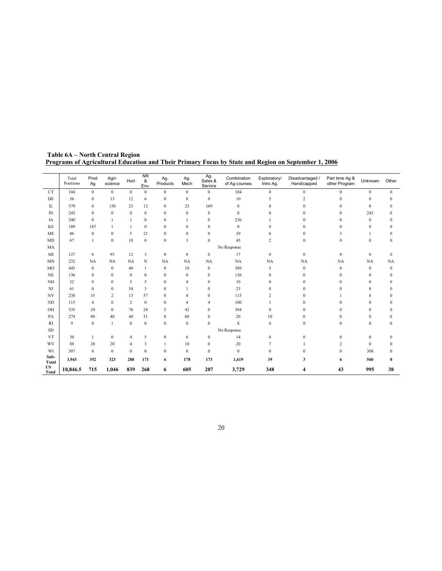|                           | Total<br>Positions | Prod<br>Ag       | Agri-<br>science | Hort             | $\overline{\text{NR}}$<br>&<br>Env. | Ag.<br>Products  | Ag.<br>Mech             | Ag.<br>Sales &<br>Service | Combination<br>of Ag courses | Exploratory/<br>Intro Ag. | Disadvantaged /<br>Handicapped | Part time Ag &<br>other Program | Unknown      | Other        |
|---------------------------|--------------------|------------------|------------------|------------------|-------------------------------------|------------------|-------------------------|---------------------------|------------------------------|---------------------------|--------------------------------|---------------------------------|--------------|--------------|
| <b>CT</b>                 | 104                | $\bf{0}$         | $\mathbf{0}$     | $\mathbf{0}$     | $\mathbf{0}$                        | $\mathbf{0}$     | $\mathbf{0}$            | $\mathbf{0}$              | 104                          | $\mathbf{0}$              | $\mathbf{0}$                   | $\mathbf{0}$                    | $\mathbf{0}$ | $\Omega$     |
| DE                        | 56                 | $\boldsymbol{0}$ | 13               | 12               | 6                                   | $\mathbf{0}$     | 8                       | $\mathbf{0}$              | 10                           | 5                         | $\overline{c}$                 | $\Omega$                        | $\mathbf{0}$ | $\mathbf{0}$ |
| IL                        | 379                | $\boldsymbol{0}$ | 150              | 23               | 12                                  | $\mathbf{0}$     | 25                      | 169                       | $\mathbf{0}$                 | $\Omega$                  | $\Omega$                       | $\Omega$                        | $\mathbf{0}$ | $\Omega$     |
| IN                        | 243                | $\boldsymbol{0}$ | $\boldsymbol{0}$ | $\boldsymbol{0}$ | $\mathbf{0}$                        | $\mathbf{0}$     | $\boldsymbol{0}$        | $\mathbf{0}$              | $\mathbf{0}$                 | $\Omega$                  | $\Omega$                       | $\Omega$                        | 243          | $\Omega$     |
| IA                        | 240                | $\mathbf{0}$     | $\mathbf{1}$     | $\mathbf{1}$     | $\mathbf{0}$                        | $\mathbf{0}$     | 1                       | $\Omega$                  | 236                          |                           | 0                              | $\Omega$                        | $\Omega$     | $\Omega$     |
| KS                        | 189                | 187              |                  | $\mathbf{1}$     | $\mathbf{0}$                        | $\boldsymbol{0}$ | $\mathbf{0}$            | $\mathbf{0}$              | $\bf{0}$                     | $\theta$                  | 0                              | $\Omega$                        | $\mathbf{0}$ | 0            |
| <b>ME</b>                 | 46                 | $\bf{0}$         | $\bf{0}$         | 5                | 21                                  | $\bf{0}$         | $\bf{0}$                | $\Omega$                  | 10                           | 6                         | $\Omega$                       | 3                               |              | $\Omega$     |
| <b>MD</b>                 | 67                 | $\mathbf{1}$     | $\boldsymbol{0}$ | 18               | $\boldsymbol{0}$                    | $\mathbf{0}$     | $\overline{\mathbf{3}}$ | $\Omega$                  | 43                           | $\overline{c}$            | $\mathbf{0}$                   | $\bf{0}$                        | $\mathbf{0}$ | $\Omega$     |
| MA                        |                    |                  |                  |                  |                                     |                  |                         |                           | No Response                  |                           |                                |                                 |              |              |
| MI                        | 127                | $\bf{0}$         | 95               | 12               | 3                                   | $\bf{0}$         | $\bf{0}$                | $\bf{0}$                  | 17                           | $\mathbf{0}$              | $\mathbf{0}$                   | $\bf{0}$                        | $\mathbf{0}$ | $\Omega$     |
| <b>MN</b>                 | 232                | <b>NA</b>        | NA               | <b>NA</b>        | N                                   | NA               | NA                      | NA                        | <b>NA</b>                    | NA                        | <b>NA</b>                      | <b>NA</b>                       | NA           | NA           |
| M <sub>O</sub>            | 445                | $\bf{0}$         | $\mathbf{0}$     | 40               | $\mathbf{1}$                        | $\mathbf{0}$     | $10\,$                  | $\Omega$                  | 389                          | 5                         | $\Omega$                       | $\mathbf{0}$                    | $\Omega$     | $\Omega$     |
| <b>NE</b>                 | 136                | $\bf{0}$         | $\mathbf{0}$     | $\bf{0}$         | $\mathbf{0}$                        | $\mathbf{0}$     | $\bf{0}$                | $\mathbf{0}$              | 136                          | $\Omega$                  | 0                              | $\mathbf{0}$                    | $\Omega$     | $\mathbf{0}$ |
| NH                        | 22                 | $\mathbf{0}$     | $\mathbf{0}$     | 3                | 5                                   | $\mathbf{0}$     | $\overline{4}$          | $\mathbf{0}$              | 10                           | $\Omega$                  | $\Omega$                       | $\Omega$                        | $\Omega$     | $\Omega$     |
| $_{\rm NJ}$               | 61                 | $\boldsymbol{0}$ | $\overline{0}$   | 34               | 3                                   | $\mathbf{0}$     |                         | $\mathbf{0}$              | 23                           | $\mathbf{0}$              | $\mathbf{0}$                   | $\mathbf{0}$                    | $\theta$     | $\Omega$     |
| NY                        | 238                | 35               | 2                | 13               | 57                                  | $\mathbf{0}$     | 4                       | $\mathbf{0}$              | 115                          | $\overline{2}$            | $\mathbf{0}$                   |                                 | 8            | $\Omega$     |
| ND                        | 115                | $\overline{4}$   | $\mathbf{0}$     | $\overline{c}$   | $\mathbf{0}$                        | $\mathbf{0}$     | 4                       | 4                         | 100                          |                           | $\theta$                       | $\mathbf{0}$                    | $\mathbf{0}$ | $\Omega$     |
| OH                        | 535                | 24               | $\mathbf{0}$     | 76               | 24                                  | 5                | 42                      | $\mathbf{0}$              | 364                          | $\mathbf{0}$              | $\Omega$                       | $\Omega$                        | $\theta$     | 0            |
| PA                        | 274                | 80               | 40               | 40               | 31                                  | $\mathbf{0}$     | 60                      | $\mathbf{0}$              | 20                           | 10                        | $\Omega$                       | $\Omega$                        | $\mathbf{0}$ | $\Omega$     |
| RI                        | 9                  | $\boldsymbol{0}$ | $\mathbf{1}$     | $\boldsymbol{0}$ | $\mathbf{0}$                        | $\mathbf{0}$     | $\boldsymbol{0}$        | $\mathbf{0}$              | 8                            | $\mathbf{0}$              | $\mathbf{0}$                   | $\mathbf{0}$                    | $\mathbf{0}$ | $\mathbf{0}$ |
| ${\rm SD}$                |                    |                  |                  |                  |                                     |                  |                         |                           | No Response                  |                           |                                |                                 |              |              |
| <b>VT</b>                 | 30                 | $\mathbf{1}$     | $\boldsymbol{0}$ | $\overline{4}$   | 5                                   | $\boldsymbol{0}$ | 6                       | $\boldsymbol{0}$          | 14                           | $\boldsymbol{0}$          | $\mathbf{0}$                   | $\theta$                        | $\mathbf{0}$ | $\Omega$     |
| WV                        | 88                 | 20               | 20               | $\overline{4}$   | 3                                   |                  | $10\,$                  | $\mathbf{0}$              | 20                           | 7                         |                                | 2                               | $\Omega$     | $\Omega$     |
| WI                        | 307                | $\boldsymbol{0}$ | $\bf{0}$         | $\boldsymbol{0}$ | $\mathbf{0}$                        | $\mathbf{0}$     | $\boldsymbol{0}$        | $\mathbf{0}$              | $\boldsymbol{0}$             | $\theta$                  | $\Omega$                       | $\boldsymbol{0}$                | 308          | 0            |
| Sub-<br><b>Total</b>      | 3,943              | 352              | 323              | 288              | 171                                 | 6                | 178                     | 173                       | 1,619                        | 39                        | 3                              | 6                               | 560          | 0            |
| <b>US</b><br><b>Total</b> | 10,846.5           | 715              | 1,046            | 839              | 268                                 | 6                | 605                     | 207                       | 3,729                        | 348                       | 4                              | 43                              | 995          | 38           |

 Table 6A – North Central Region Programs of Agricultural Education and Their Primary Focus by State and Region on September 1, 2006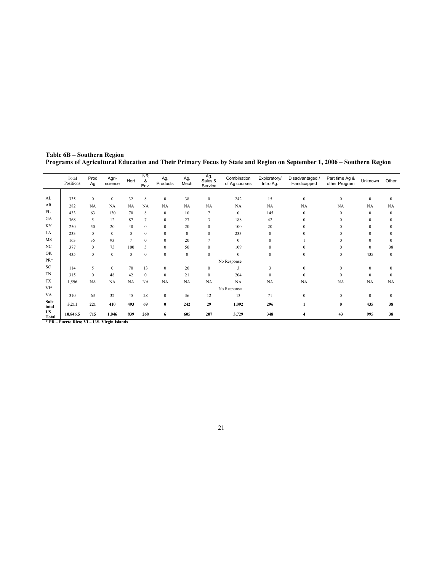|                    | Total<br>Positions                                    | Prod<br>Ag   | Agri-<br>science | Hort         | <b>NR</b><br>&<br>Env. | Ag.<br>Products  | Ag.<br>Mech | Ag.<br>Sales &<br>Service | Combination<br>of Ag courses | Exploratory/<br>Intro Ag. | Disadvantaged /<br>Handicapped | Part time Ag &<br>other Program | Unknown      | Other        |
|--------------------|-------------------------------------------------------|--------------|------------------|--------------|------------------------|------------------|-------------|---------------------------|------------------------------|---------------------------|--------------------------------|---------------------------------|--------------|--------------|
|                    |                                                       |              |                  |              |                        |                  |             |                           |                              |                           |                                |                                 |              |              |
| AL                 | 335                                                   | $\mathbf{0}$ | $\mathbf{0}$     | 32           | 8                      | $\bf{0}$         | 38          | $\mathbf{0}$              | 242                          | 15                        | $\mathbf{0}$                   | $\mathbf{0}$                    | $\mathbf{0}$ | $\Omega$     |
| AR                 | 282                                                   | NA           | NA               | <b>NA</b>    | NA                     | NA               | <b>NA</b>   | NA                        | NA                           | NA                        | NA                             | <b>NA</b>                       | NA           | NA           |
| FL                 | 433                                                   | 63           | 130              | 70           | 8                      | $\mathbf{0}$     | 10          | 7                         | $\mathbf{0}$                 | 145                       | $\Omega$                       | $\mathbf{0}$                    | $\theta$     | $\Omega$     |
| GA                 | 368                                                   | 5            | 12               | 87           | $\overline{7}$         | $\boldsymbol{0}$ | 27          | 3                         | 188                          | 42                        | $\mathbf{0}$                   | $\mathbf{0}$                    | $\mathbf{0}$ | 0            |
| KY                 | 250                                                   | 50           | 20               | 40           | $\mathbf{0}$           | $\mathbf{0}$     | 20          | $\mathbf{0}$              | 100                          | 20                        | $\mathbf{0}$                   | $\mathbf{0}$                    | $\mathbf{0}$ | $\mathbf{0}$ |
| LA                 | 233                                                   | $\mathbf{0}$ | $\mathbf{0}$     | $\mathbf{0}$ | $\mathbf{0}$           | $\boldsymbol{0}$ | $\bf{0}$    | $\mathbf{0}$              | 233                          | $\mathbf{0}$              | $\mathbf{0}$                   | $\mathbf{0}$                    | $\Omega$     | 0            |
| MS                 | 163                                                   | 35           | 93               | 7            | $\mathbf{0}$           | $\mathbf{0}$     | 20          | $\tau$                    | $\mathbf{0}$                 | $\mathbf{0}$              |                                | $\Omega$                        | $\mathbf{0}$ | $\Omega$     |
| NC                 | 377                                                   | $\mathbf{0}$ | 75               | 100          | 5                      | $\boldsymbol{0}$ | 50          | $\mathbf{0}$              | 109                          | $\mathbf{0}$              | $\Omega$                       | $\mathbf{0}$                    | $\mathbf{0}$ | 38           |
| OK                 | 435                                                   | $\mathbf{0}$ | $\mathbf{0}$     | $\mathbf{0}$ | $\mathbf{0}$           | $\mathbf{0}$     | $\bf{0}$    | $\mathbf{0}$              | $\mathbf{0}$                 | $\mathbf{0}$              | $\mathbf{0}$                   | $\mathbf{0}$                    | 435          | $\mathbf{0}$ |
| PR*                |                                                       |              |                  |              |                        |                  |             |                           | No Response                  |                           |                                |                                 |              |              |
| SC                 | 114                                                   | 5            | $\mathbf{0}$     | 70           | 13                     | $\mathbf{0}$     | 20          | $\mathbf{0}$              | 3                            | 3                         | $\mathbf{0}$                   | $\mathbf{0}$                    | $\mathbf{0}$ | $\mathbf{0}$ |
| <b>TN</b>          | 315                                                   | $\mathbf{0}$ | 48               | 42           | $\mathbf{0}$           | $\mathbf{0}$     | 21          | $\mathbf{0}$              | 204                          | $\mathbf{0}$              | $\mathbf{0}$                   | $\mathbf{0}$                    | $\mathbf{0}$ | $\mathbf{0}$ |
| <b>TX</b>          | 1,596                                                 | NA           | NA               | <b>NA</b>    | NA                     | NA               | NA          | <b>NA</b>                 | NA                           | NA                        | NA                             | NA                              | <b>NA</b>    | NA           |
| VI*                |                                                       |              |                  |              |                        |                  |             |                           | No Response                  |                           |                                |                                 |              |              |
| VA                 | 310                                                   | 63           | 32               | 45           | 28                     | $\boldsymbol{0}$ | 36          | 12                        | 13                           | 71                        | $\mathbf{0}$                   | $\bf{0}$                        | $\mathbf{0}$ | $\mathbf{0}$ |
| Sub-<br>total      | 5,211                                                 | 221          | 410              | 493          | 69                     | $\bf{0}$         | 242         | 29                        | 1,092                        | 296                       |                                | $\bf{0}$                        | 435          | 38           |
| <b>US</b><br>Total | 10,846.5<br>$+$ nn $n \rightarrow n$ ; $m \mod n + 1$ | 715          | 1,046            | 839          | 268                    | 6                | 605         | 207                       | 3,729                        | 348                       | 4                              | 43                              | 995          | 38           |

Table 6B – Southern Region Programs of Agricultural Education and Their Primary Focus by State and Region on September 1, 2006 – Southern Region

\* PR – Puerto Rico; VI – U.S. Virgin Islands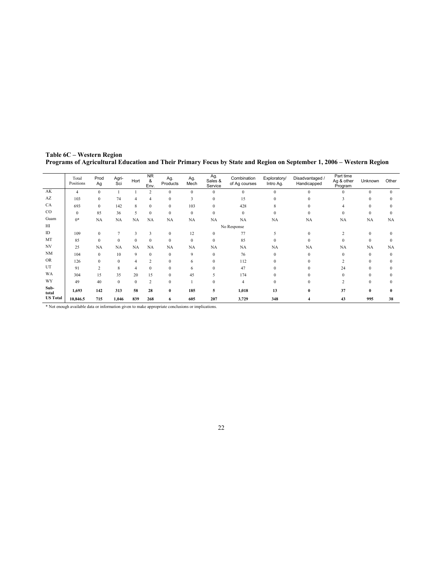|                 | Total<br>Positions | Prod<br>Ag       | Agri-<br>Sci | Hort           | <b>NR</b><br>&<br>Env. | Ag.<br>Products | Ag.<br>Mech  | Ag.<br>Sales &<br>Service | Combination<br>of Ag courses | Exploratory/<br>Intro Ag. | Disadvantaged /<br>Handicapped | Part time<br>Ag & other<br>Program | Unknown      | Other    |
|-----------------|--------------------|------------------|--------------|----------------|------------------------|-----------------|--------------|---------------------------|------------------------------|---------------------------|--------------------------------|------------------------------------|--------------|----------|
| AK              | $\overline{4}$     | $\mathbf{0}$     |              |                | 2                      | $\Omega$        | $\mathbf{0}$ | $\mathbf{0}$              | $\mathbf{0}$                 | $\Omega$                  | $\mathbf{0}$                   | $\Omega$                           | $\mathbf{0}$ | $\Omega$ |
| AZ              | 103                | $\mathbf{0}$     | 74           | 4              | $\overline{4}$         | $\mathbf{0}$    | 3            | $\mathbf{0}$              | 15                           | $\mathbf{0}$              | $\mathbf{0}$                   | 3                                  | $\mathbf{0}$ |          |
| <b>CA</b>       | 693                | $\mathbf{0}$     | 142          | 8              | $\mathbf{0}$           | $\mathbf{0}$    | 103          | $\mathbf{0}$              | 428                          | 8                         | $\mathbf{0}$                   | 4                                  | $\Omega$     | 0        |
| $_{\rm CO}$     | $\mathbf{0}$       | 85               | 36           | 5              | $\mathbf{0}$           | $\mathbf{0}$    | $\mathbf{0}$ | $\mathbf{0}$              | $\mathbf{0}$                 | $\mathbf{0}$              | $\mathbf{0}$                   | $\Omega$                           | $\mathbf{0}$ | 0        |
| Guam            | $0*$               | NA               | NA           | NA             | NA                     | NA              | <b>NA</b>    | <b>NA</b>                 | NA                           | <b>NA</b>                 | NA                             | NA                                 | NA           | NA       |
| HI              |                    |                  |              |                |                        |                 |              |                           | No Response                  |                           |                                |                                    |              |          |
| ID              | 109                | $\boldsymbol{0}$ | 7            | 3              | 3                      | $\mathbf{0}$    | 12           | $\mathbf{0}$              | 77                           | 5                         | $\mathbf{0}$                   | 2                                  | $\mathbf{0}$ |          |
| MT              | 85                 | $\mathbf{0}$     | $\mathbf{0}$ | $\mathbf{0}$   | $\mathbf{0}$           | $\mathbf{0}$    | $\mathbf{0}$ | $\mathbf{0}$              | 85                           | $\Omega$                  | $\mathbf{0}$                   | $\theta$                           | $\mathbf{0}$ |          |
| NV              | 25                 | NA               | NA           | NA             | NA                     | NA              | NA           | <b>NA</b>                 | NA                           | NA                        | NA                             | <b>NA</b>                          | <b>NA</b>    | NA       |
| <b>NM</b>       | 104                | $\mathbf{0}$     | 10           | 9              | $\mathbf{0}$           | $\mathbf{0}$    | 9            | $\mathbf{0}$              | 76                           | $\mathbf{0}$              | $\mathbf{0}$                   | $\Omega$                           | $\Omega$     | $\Omega$ |
| <b>OR</b>       | 126                | $\mathbf{0}$     | $\mathbf{0}$ | $\overline{4}$ | 2                      | $\mathbf{0}$    | 6            | $\mathbf{0}$              | 112                          | $\Omega$                  | $\mathbf{0}$                   | <sup>1</sup>                       | $\theta$     |          |
| UT              | 91                 | $\overline{2}$   | 8            | $\overline{4}$ | $\mathbf{0}$           | $\mathbf{0}$    | 6            | $\mathbf{0}$              | 47                           | $\mathbf{0}$              | $\mathbf{0}$                   | 24                                 | $\Omega$     |          |
| <b>WA</b>       | 304                | 15               | 35           | 20             | 15                     | $\mathbf{0}$    | 45           | 5                         | 174                          | $\Omega$                  | $\Omega$                       | $\Omega$                           | $\Omega$     |          |
| WY              | 49                 | 40               | $\mathbf{0}$ | $\mathbf{0}$   | 2                      | $\mathbf{0}$    |              | $\mathbf{0}$              | $\overline{4}$               | $\Omega$                  | $\mathbf{0}$                   | $\overline{c}$                     | $\theta$     |          |
| Sub-<br>total   | 1,693              | 142              | 313          | 58             | 28                     | $\bf{0}$        | 185          | 5                         | 1,018                        | 13                        | $\bf{0}$                       | 37                                 | $\bf{0}$     | 0        |
| <b>US Total</b> | 10,846.5           | 715              | 1,046        | 839            | 268                    | 6               | 605          | 207                       | 3,729                        | 348                       |                                | 43                                 | 995          | 38       |

Table 6C – Western Region Programs of Agricultural Education and Their Primary Focus by State and Region on September 1, 2006 – Western Region

\* Not enough available data or information given to make appropriate conclusions or implications.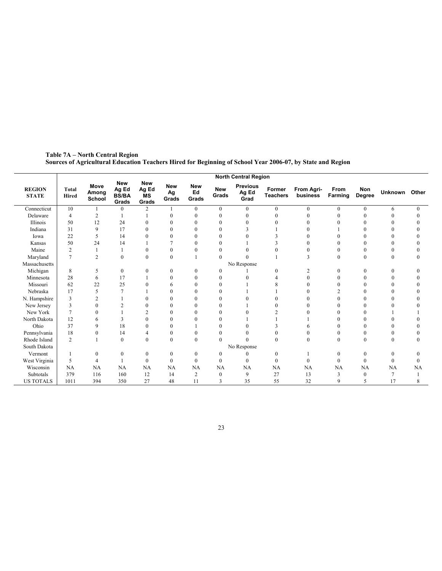|                               |                              |                                |                                              |                                           |                           |                           |                     | <b>North Central Region</b>      |                           |                        |                 |                  |                |              |
|-------------------------------|------------------------------|--------------------------------|----------------------------------------------|-------------------------------------------|---------------------------|---------------------------|---------------------|----------------------------------|---------------------------|------------------------|-----------------|------------------|----------------|--------------|
| <b>REGION</b><br><b>STATE</b> | <b>Total</b><br><b>Hired</b> | <b>Move</b><br>Among<br>School | <b>New</b><br>Ag Ed<br><b>BS/BA</b><br>Grads | <b>New</b><br>Ag Ed<br><b>MS</b><br>Grads | <b>New</b><br>Ag<br>Grads | <b>New</b><br>Ed<br>Grads | <b>New</b><br>Grads | <b>Previous</b><br>Ag Ed<br>Grad | Former<br><b>Teachers</b> | From Agri-<br>business | From<br>Farming | Non<br>Degree    | Unknown Other  |              |
| Connecticut                   | 10                           |                                | $\theta$                                     | $\overline{c}$                            |                           | $\mathbf{0}$              | $\mathbf{0}$        | $\mathbf{0}$                     | $\overline{0}$            | $\mathbf{0}$           | $\mathbf{0}$    | $\overline{0}$   | 6              | $\mathbf{0}$ |
| Delaware                      | $\overline{4}$               | 2                              |                                              |                                           | $\Omega$                  | $\Omega$                  | $\theta$            | $\theta$                         |                           | $\Omega$               | $\Omega$        |                  |                | $\Omega$     |
| Illinois                      | 50                           | 12                             | 24                                           | 0                                         | 0                         |                           | $\theta$            | $\theta$                         |                           | 0                      |                 |                  |                |              |
| Indiana                       | 31                           | 9                              | 17                                           | $\theta$                                  | $\theta$                  |                           | $\theta$            |                                  |                           | $\Omega$               |                 |                  |                |              |
| Iowa                          | 22                           | 5                              | 14                                           | $\Omega$                                  | $\theta$                  | $\Omega$                  | $\theta$            | $\Omega$                         |                           | 0                      |                 |                  |                |              |
| Kansas                        | 50                           | 24                             | 14                                           |                                           |                           |                           | $\theta$            |                                  |                           |                        |                 |                  |                |              |
| Maine                         | $\overline{2}$               |                                |                                              | $\Omega$                                  | $\boldsymbol{0}$          | 0                         | $\theta$            |                                  |                           | $\theta$               |                 |                  |                | 0            |
| Maryland                      | $\overline{7}$               | $\overline{c}$                 | $\mathbf{0}$                                 | $\bf{0}$                                  | $\mathbf{0}$              |                           | $\theta$            | $\Omega$                         |                           | 3                      | $\Omega$        | $\theta$         | $\theta$       | 0            |
| Massachusetts                 |                              |                                |                                              |                                           |                           |                           |                     | No Response                      |                           |                        |                 |                  |                |              |
| Michigan                      | 8                            | 5                              | $\mathbf{0}$                                 | 0                                         | $\boldsymbol{0}$          | $\theta$                  | $\mathbf{0}$        |                                  | $\theta$                  | 2                      | $\Omega$        | $\theta$         |                | 0            |
| Minnesota                     | 28                           | 6                              | 17                                           |                                           | $\mathbf{0}$              | $\theta$                  | $\mathbf{0}$        |                                  |                           | $\mathbf{0}$           |                 |                  |                |              |
| Missouri                      | 62                           | 22                             | 25                                           | $\mathbf{0}$                              | 6                         |                           | $\theta$            |                                  |                           | $\Omega$               |                 |                  |                |              |
| Nebraska                      | 17                           | 5                              | 7                                            |                                           | $\theta$                  |                           | $\theta$            |                                  |                           | $\Omega$               |                 |                  |                |              |
| N. Hampshire                  | $\overline{\mathbf{3}}$      | $\overline{2}$                 |                                              | $\mathbf{0}$                              | $\Omega$                  |                           | $\theta$            |                                  |                           | 0                      |                 |                  |                |              |
| New Jersey                    | 3                            | $\mathbf{0}$                   | $\overline{c}$                               | $\theta$                                  | $\theta$                  | $\Omega$                  | $\theta$            |                                  |                           | $\Omega$               |                 |                  |                |              |
| New York                      | $\overline{7}$               | $\theta$                       |                                              | $\overline{c}$                            | $\theta$                  |                           | $\theta$            |                                  | $\overline{2}$            | 0                      |                 |                  |                |              |
| North Dakota                  | 12                           | 6                              | 3                                            | $\theta$                                  | $\theta$                  |                           | $\theta$            |                                  |                           |                        |                 |                  |                |              |
| Ohio                          | 37                           | 9                              | 18                                           | $\theta$                                  | $\mathbf{0}$              |                           | $\theta$            | $\Omega$                         |                           | 6                      |                 |                  |                |              |
| Pennsylvania                  | 18                           | $\mathbf{0}$                   | 14                                           | 4                                         | $\boldsymbol{0}$          | $\theta$                  | $\theta$            | $\theta$                         |                           | 0                      | $\theta$        | 0                |                | 0            |
| Rhode Island                  | $\overline{c}$               |                                | $\mathbf{0}$                                 | $\overline{0}$                            | $\mathbf{0}$              | $\mathbf{0}$              | $\theta$            | $\theta$                         | $\mathbf{0}$              | $\mathbf{0}$           | $\mathbf{0}$    | $\mathbf{0}$     | $\mathbf{0}$   | 0            |
| South Dakota                  |                              |                                |                                              |                                           |                           |                           |                     | No Response                      |                           |                        |                 |                  |                |              |
| Vermont                       |                              | $\mathbf{0}$                   | $\mathbf{0}$                                 | $\mathbf{0}$                              | $\boldsymbol{0}$          | $\mathbf{0}$              | $\mathbf{0}$        | $\Omega$                         | $\mathbf{0}$              |                        | $\theta$        | $\boldsymbol{0}$ | $\mathbf{0}$   | 0            |
| West Virginia                 | 5                            | 4                              |                                              | $\mathbf{0}$                              | $\mathbf{0}$              | $\mathbf{0}$              | $\mathbf{0}$        | $\theta$                         | $\theta$                  | $\boldsymbol{0}$       | $\Omega$        | $\mathbf{0}$     | $\theta$       | 0            |
| Wisconsin                     | NA                           | NA                             | <b>NA</b>                                    | NA                                        | NA                        | NA                        | NA                  | <b>NA</b>                        | NA                        | NA                     | NA              | NA               | NA             | NA           |
| Subtotals                     | 379                          | 116                            | 160                                          | 12                                        | 14                        | $\overline{2}$            | $\mathbf{0}$        | 9                                | 27                        | 13                     | 3               | $\theta$         | $\overline{7}$ |              |
| <b>US TOTALS</b>              | 1011                         | 394                            | 350                                          | 27                                        | 48                        | 11                        | 3                   | 35                               | 55                        | 32                     | 9               | 5                | 17             | 8            |

Table 7A – North Central Region Sources of Agricultural Education Teachers Hired for Beginning of School Year 2006-07, by State and Region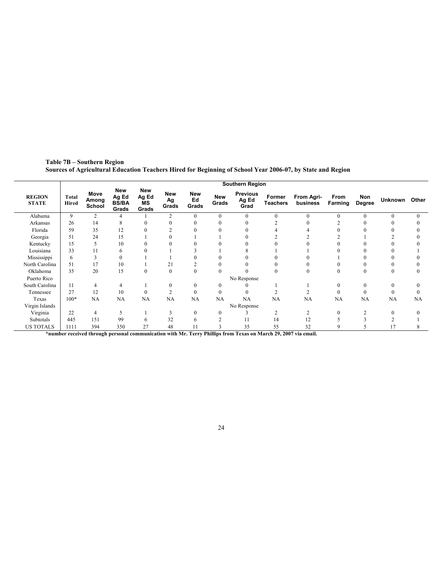|                               |                              |                         |                                       |                             |                           |                           |                     | <b>Southern Region</b>           |                    |                        |                 |               |              |        |
|-------------------------------|------------------------------|-------------------------|---------------------------------------|-----------------------------|---------------------------|---------------------------|---------------------|----------------------------------|--------------------|------------------------|-----------------|---------------|--------------|--------|
| <b>REGION</b><br><b>STATE</b> | <b>Total</b><br><b>Hired</b> | Move<br>Among<br>School | New<br>Ag Ed<br><b>BS/BA</b><br>Grads | New<br>Ag Ed<br>ΜS<br>Grads | <b>New</b><br>Ag<br>Grads | <b>New</b><br>Ed<br>Grads | <b>New</b><br>Grads | <b>Previous</b><br>Ag Ed<br>Grad | Former<br>Teachers | From Agri-<br>business | From<br>Farming | Non<br>Degree | Unknown      | Other  |
| Alabama                       | 9                            | $\overline{c}$          |                                       |                             | $\overline{2}$            | $\theta$                  | $\theta$            | $\mathbf{0}$                     | $\theta$           | $\Omega$               | $\Omega$        | $\Omega$      | $\Omega$     | 0      |
| Arkansas                      | 26                           | 14                      | 8                                     | $\Omega$                    | $\theta$                  | $\Omega$                  | $\theta$            | 0                                |                    | 0                      |                 |               |              |        |
| Florida                       | 59                           | 35                      | 12                                    | $\Omega$                    |                           | $\theta$                  | $\mathbf{0}$        |                                  |                    |                        |                 |               |              |        |
| Georgia                       | 51                           | 24                      | 15                                    |                             |                           |                           |                     | 0                                |                    |                        |                 |               |              |        |
| Kentucky                      | 15                           | 5                       | 10                                    |                             |                           |                           | 0                   |                                  |                    |                        |                 |               |              |        |
| Louisiana                     | 33                           | 11                      | 6                                     | $\Omega$                    |                           |                           |                     | 8                                |                    |                        |                 |               |              |        |
| Mississippi                   | 6                            | 3                       | $\mathbf{0}$                          |                             |                           |                           | 0                   |                                  |                    |                        |                 |               |              |        |
| North Carolina                | 51                           | 17                      | 10                                    |                             | 21                        | 2                         | $\theta$            | 0                                |                    |                        |                 |               |              |        |
| Oklahoma                      | 35                           | 20                      | 15                                    | $\mathbf{0}$                | $\mathbf{0}$              | $\mathbf{0}$              | $\Omega$            |                                  | $\theta$           | $\theta$               | $\mathbf{0}$    | $\mathbf{0}$  | $\theta$     |        |
| Puerto Rico                   |                              |                         |                                       |                             |                           |                           |                     | No Response                      |                    |                        |                 |               |              |        |
| South Carolina                | 11                           | $\overline{4}$          | 4                                     |                             | $\theta$                  | $\mathbf{0}$              | $\mathbf{0}$        |                                  |                    |                        | $\Omega$        | $\theta$      | $\mathbf{0}$ |        |
| Tennessee                     | 27                           | 12                      | 10                                    | $\Omega$                    | $\overline{2}$            | $\mathbf{0}$              | $\mathbf{0}$        | $\theta$                         |                    |                        | $\theta$        | $\theta$      | $\theta$     | $_{0}$ |
| Texas                         | $100*$                       | NA                      | NA                                    | NA                          | NA                        | NA                        | NA                  | NA                               | NA                 | NA                     | <b>NA</b>       | NA            | NA           | NA     |
| Virgin Islands                |                              |                         |                                       |                             |                           |                           |                     | No Response                      |                    |                        |                 |               |              |        |
| Virginia                      | 22                           | $\overline{4}$          | 5                                     |                             | 3                         | $\mathbf{0}$              | $\mathbf{0}$        |                                  | $\overline{c}$     |                        | $\theta$        |               | $\theta$     | 0      |
| Subtotals                     | 445                          | 151                     | 99                                    | 6                           | 32                        | 6                         | $\overline{c}$      | 11                               | 14                 | 12                     |                 |               |              |        |
| <b>US TOTALS</b>              | 1111                         | 394                     | 350                                   | 27                          | 48                        | 11                        | 3                   | 35                               | 55                 | 32                     | 9               |               |              |        |

Table 7B – Southern Region Sources of Agricultural Education Teachers Hired for Beginning of School Year 2006-07, by State and Region

\*number received through personal communication with Mr. Terry Phillips from Texas on March 29, 2007 via email.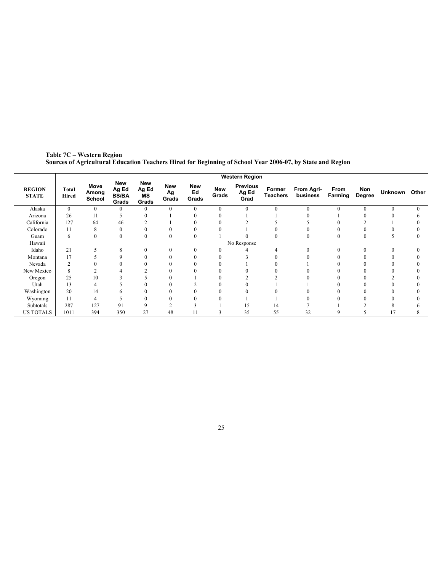|                               |                       |                         |                                       |                                           |                           |                           |                     | <b>Western Region</b>            |                           |                        |                 |               |               |          |
|-------------------------------|-----------------------|-------------------------|---------------------------------------|-------------------------------------------|---------------------------|---------------------------|---------------------|----------------------------------|---------------------------|------------------------|-----------------|---------------|---------------|----------|
| <b>REGION</b><br><b>STATE</b> | <b>Total</b><br>Hired | Move<br>Among<br>School | New<br>Ag Ed<br><b>BS/BA</b><br>Grads | <b>New</b><br>Ag Ed<br><b>MS</b><br>Grads | <b>New</b><br>Ag<br>Grads | <b>New</b><br>Ed<br>Grads | <b>New</b><br>Grads | <b>Previous</b><br>Ag Ed<br>Grad | Former<br><b>Teachers</b> | From Agri-<br>business | From<br>Farming | Non<br>Degree | Unknown Other |          |
| Alaska                        | $\overline{0}$        | $\overline{0}$          | $\Omega$                              |                                           | $\mathbf{0}$              | $\mathbf{0}$              | $\theta$            | $\mathbf{0}$                     | $\theta$                  | $\theta$               | $\theta$        | $\theta$      | $\theta$      | $\Omega$ |
| Arizona                       | 26                    | 11                      |                                       |                                           |                           | 0                         |                     |                                  |                           |                        |                 |               |               |          |
| California                    | 127                   | 64                      | 46                                    |                                           |                           | 0                         |                     |                                  |                           |                        |                 |               |               |          |
| Colorado                      | 11                    | 8                       |                                       |                                           |                           |                           |                     |                                  |                           |                        |                 |               |               |          |
| Guam                          | 6                     | $\mathbf{0}$            | $\mathbf{0}$                          | $\boldsymbol{0}$                          | $\mathbf{0}$              | $\mathbf{0}$              |                     |                                  |                           |                        |                 |               |               |          |
| Hawaii                        |                       |                         |                                       |                                           |                           |                           |                     | No Response                      |                           |                        |                 |               |               |          |
| Idaho                         | 21                    |                         | 8                                     |                                           | $\Omega$                  | $\mathbf{0}$              | $_{0}$              |                                  |                           | 0                      |                 |               |               |          |
| Montana                       | 17                    |                         |                                       |                                           |                           | 0                         |                     |                                  |                           |                        |                 |               |               |          |
| Nevada                        |                       |                         |                                       |                                           |                           |                           |                     |                                  |                           |                        |                 |               |               |          |
| New Mexico                    | 8                     |                         |                                       |                                           |                           | 0                         |                     |                                  |                           |                        |                 |               |               |          |
| Oregon                        | 25                    | 10                      |                                       |                                           |                           |                           |                     |                                  |                           |                        |                 |               |               |          |
| Utah                          | 13                    | 4                       |                                       |                                           |                           |                           |                     |                                  |                           |                        |                 |               |               |          |
| Washington                    | 20                    | 14                      |                                       |                                           |                           |                           |                     |                                  |                           |                        |                 |               |               |          |
| Wyoming                       | 11                    | 4                       |                                       |                                           |                           |                           |                     |                                  |                           |                        |                 |               |               |          |
| Subtotals                     | 287                   | 127                     | 91                                    |                                           |                           |                           |                     | 15                               | 14                        |                        |                 |               |               |          |
| <b>US TOTALS</b>              | 1011                  | 394                     | 350                                   | 27                                        | 48                        | 11                        | 3                   | 35                               | 55                        | 32                     | q               | 5             | 17            | 8        |

Table 7C – Western Region Sources of Agricultural Education Teachers Hired for Beginning of School Year 2006-07, by State and Region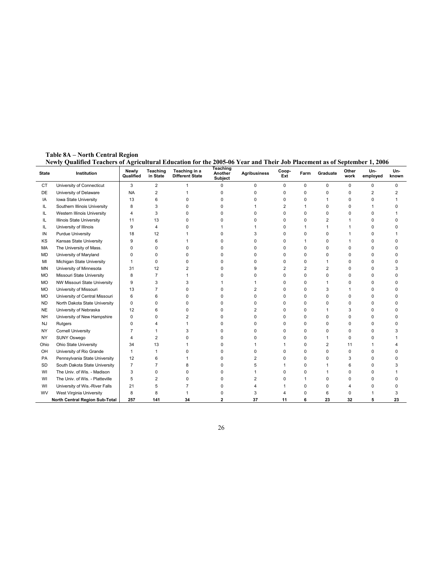Table 8A – North Central Region Newly Qualified Teachers of Agricultural Education for the 2005-06 Year and Their Job Placement as of September 1, 2006

| <b>State</b> | yuannya Tyayhyis ol Agriyaharar Euayahon for the 2000-00-1 car and Then 000-1 facement as of September 1, 2000<br>Institution | Newly<br>Qualified | Teaching<br>in State | Teaching in a<br><b>Different State</b> | Teaching<br>Another<br>Subject | <b>Agribusiness</b> | Coop-<br>Ext   | Farm     | Graduate | Other<br>work | Un-<br>employed | Un-<br>known |
|--------------|-------------------------------------------------------------------------------------------------------------------------------|--------------------|----------------------|-----------------------------------------|--------------------------------|---------------------|----------------|----------|----------|---------------|-----------------|--------------|
| CT           | University of Connecticut                                                                                                     | 3                  | $\overline{2}$       |                                         | 0                              | 0                   | $\mathbf 0$    | 0        | 0        | 0             | 0               | $\Omega$     |
| DE           | University of Delaware                                                                                                        | <b>NA</b>          | $\overline{2}$       |                                         | 0                              | 0                   | 0              | 0        | $\Omega$ | 0             | $\overline{2}$  | 2            |
| IA           | Iowa State University                                                                                                         | 13                 | 6                    |                                         | 0                              | 0                   | $\Omega$       | 0        |          | 0             | 0               |              |
| IL.          | Southern Illinois University                                                                                                  | 8                  | 3                    |                                         | 0                              |                     | 2              | 1        | 0        | 0             | 1               |              |
| IL           | Western Illinois University                                                                                                   | $\overline{4}$     | 3                    |                                         | 0                              | 0                   | 0              | 0        | 0        | 0             | 0               |              |
| IL           | Illinois State University                                                                                                     | 11                 | 13                   | ŋ                                       | 0                              | 0                   | 0              | 0        | 2        |               | 0               | n            |
| IL.          | University of Illinois                                                                                                        | 9                  | 4                    |                                         | 1                              |                     | $\Omega$       | 1        |          |               | 0               |              |
| IN           | <b>Purdue University</b>                                                                                                      | 18                 | 12                   |                                         | 0                              | 3                   | $\Omega$       | 0        | $\Omega$ |               | 0               |              |
| KS           | Kansas State University                                                                                                       | 9                  | 6                    |                                         | 0                              | 0                   | $\Omega$       | 1        | O        |               | 0               |              |
| MA           | The University of Mass.                                                                                                       | $\Omega$           | $\Omega$             |                                         | 0                              | 0                   | $\Omega$       | 0        | 0        | $\Omega$      | 0               |              |
| <b>MD</b>    | University of Maryland                                                                                                        | $\Omega$           | 0                    |                                         | 0                              | 0                   | n              | 0        | n        | 0             | 0               |              |
| MI           | Michigan State University                                                                                                     | 1                  | $\Omega$             |                                         | 0                              | 0                   | O              | 0        |          | 0             | 0               |              |
| MN           | University of Minnesota                                                                                                       | 31                 | 12                   |                                         | $\Omega$                       | g                   | $\overline{2}$ | 2        | 2        | $\Omega$      | <sup>0</sup>    |              |
| MO           | Missouri State University                                                                                                     | 8                  | $\overline{7}$       |                                         | 0                              | O                   | $\Omega$       | 0        | U        | 0             | 0               |              |
| <b>MO</b>    | NW Missouri State University                                                                                                  | 9                  | 3                    |                                         |                                |                     | $\Omega$       | 0        |          | 0             | 0               |              |
| <b>MO</b>    | University of Missouri                                                                                                        | 13                 | $\overline{7}$       |                                         | 0                              | 2                   | $\Omega$       | 0        | 3        |               | 0               |              |
| <b>MO</b>    | University of Central Missouri                                                                                                | 6                  | 6                    |                                         | 0                              | 0                   | 0              | 0        | 0        | 0             | 0               |              |
| <b>ND</b>    | North Dakota State University                                                                                                 | $\mathbf 0$        | $\Omega$             |                                         | 0                              | 0                   | O              | 0        | n        | 0             | <sup>0</sup>    |              |
| <b>NE</b>    | University of Nebraska                                                                                                        | 12                 | 6                    | ŋ                                       | 0                              | 2                   | $\Omega$       | 0        |          | 3             | 0               | n            |
| <b>NH</b>    | University of New Hampshire                                                                                                   | $\mathbf 0$        | $\Omega$             | 2                                       | 0                              | 0                   | $\Omega$       | 0        | 0        | $\Omega$      | 0               | n            |
| <b>NJ</b>    | Rutgers                                                                                                                       | $\mathbf 0$        | $\Delta$             |                                         | 0                              | 0                   | $\Omega$       | 0        | ŋ        | $\Omega$      | 0               |              |
| <b>NY</b>    | <b>Cornell University</b>                                                                                                     | $\overline{7}$     | 1                    |                                         | 0                              | 0                   | $\Omega$       | 0        | O        | 0             | 0               |              |
| <b>NY</b>    | SUNY Oswego                                                                                                                   | 4                  | 2                    |                                         | 0                              | ŋ                   | O              | 0        |          | 0             | 0               |              |
| Ohio         | Ohio State University                                                                                                         | 34                 | 13                   |                                         | 0                              |                     |                | 0        | 2        | 11            | 1               |              |
| OH           | University of Rio Grande                                                                                                      | 1                  | 1                    |                                         | 0                              | O.                  | O              | 0        | U        | $\Omega$      | 0               |              |
| PA           | Pennsylvania State University                                                                                                 | 12                 | 6                    |                                         | 0                              | 2                   | $\Omega$       | 0        | O        | 3             | <sup>0</sup>    |              |
| SD           | South Dakota State University                                                                                                 | $\overline{7}$     | $\overline{7}$       |                                         | 0                              | 5                   |                | $\Omega$ |          | 6             | 0               |              |
| WI           | The Univ. of Wis. - Madison                                                                                                   | 3                  | $\Omega$             | ŋ                                       | 0                              |                     | n              | $\Omega$ |          | O             | U               |              |
| WI           | The Univ. of Wis. - Platteville                                                                                               | 5                  | 2                    |                                         | 0                              | 2                   | n              | 1        | ŋ        | 0             | U               |              |
| WI           | University of Wis.-River Falls                                                                                                | 21                 | 5                    |                                         | 0                              |                     |                | 0        | 0        | 4             | 0               |              |
| WV           | West Virginia University                                                                                                      | 8                  | 8                    |                                         | 0                              | 3                   |                | $\Omega$ | 6        | 0             |                 | 3            |
|              | North Central Region Sub-Total                                                                                                | 257                | 141                  | 34                                      | 2                              | 37                  | 11             | 6        | 23       | 32            | 5               | 23           |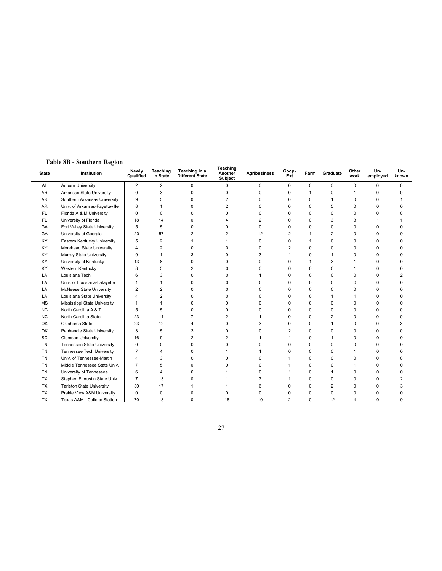## Table 8B - Southern Region

| <b>State</b> | Institution                      | Newly<br>Qualified | Teaching<br>in State | Teaching in a<br><b>Different State</b> | Teaching<br>Another<br>Subject | <b>Agribusiness</b> | Coop-<br>Ext   | Farm     | Graduate       | Other<br>work  | Un-<br>employed | Un-<br>known   |
|--------------|----------------------------------|--------------------|----------------------|-----------------------------------------|--------------------------------|---------------------|----------------|----------|----------------|----------------|-----------------|----------------|
| AL           | Auburn University                | $\overline{2}$     | $\overline{2}$       | 0                                       | 0                              | $\mathbf 0$         | 0              | $\Omega$ | $\mathbf 0$    | 0              | $\mathbf 0$     | $\Omega$       |
| AR           | Arkansas State University        | 0                  | 3                    | 0                                       | $\Omega$                       | 0                   | $\Omega$       | 1        | 0              | $\overline{1}$ | $\Omega$        | $\Omega$       |
| AR           | Southern Arkansas University     | 9                  | 5                    | 0                                       | 2                              | O                   | ŋ              | $\Omega$ |                | $\Omega$       | $\Omega$        |                |
| AR           | Univ. of Arkansas-Fayetteville   | 8                  |                      | 0                                       | $\overline{2}$                 | 0                   |                | $\Omega$ | 5              | $\Omega$       | $\Omega$        |                |
| FL.          | Florida A & M University         | 0                  | $\Omega$             | $\Omega$                                | $\Omega$                       | 0                   |                | $\Omega$ | $\Omega$       | $\Omega$       | $\Omega$        |                |
| FL.          | University of Florida            | 18                 | 14                   | 0                                       |                                | 2                   |                | $\Omega$ | 3              | 3              |                 |                |
| GA           | Fort Valley State University     | 5                  | 5                    | 0                                       | $\Omega$                       | 0                   | ŋ              | $\Omega$ | 0              | $\Omega$       | $\Omega$        | $\Omega$       |
| GA           | University of Georgia            | 20                 | 57                   | 2                                       | 2                              | 12                  |                |          | $\overline{2}$ | $\Omega$       | $\Omega$        | 9              |
| KY           | Eastern Kentucky University      | 5                  | $\overline{2}$       |                                         |                                | 0                   | n              |          | $\Omega$       | $\Omega$       | $\Omega$        |                |
| KY           | Morehead State University        | 4                  | $\overline{2}$       | 0                                       | $\Omega$                       | 0                   | 2              | $\Omega$ | $\Omega$       | $\Omega$       | $\Omega$        | <sup>0</sup>   |
| KY           | Murray State University          | 9                  | $\mathbf{1}$         | 3                                       | $\Omega$                       | 3                   |                | $\Omega$ | 1              | $\Omega$       | $\mathbf 0$     |                |
| KY           | University of Kentucky           | 13                 | 8                    | 0                                       | $\Omega$                       | 0                   | C              |          | 3              |                | $\mathbf 0$     | $\Omega$       |
| KY           | Western Kentucky                 | 8                  | 5                    | 2                                       | $\Omega$                       | 0                   | O              | $\Omega$ | 0              | 1              | $\Omega$        | $\Omega$       |
| LA           | Louisiana Tech                   | 6                  | 3                    | 0                                       |                                |                     | C              | $\Omega$ | 0              | $\Omega$       | $\Omega$        | 2              |
| LA           | Univ. of Louisiana-Lafayette     |                    |                      | 0                                       |                                | 0                   |                | $\Omega$ | $\Omega$       | $\Omega$       | $\Omega$        |                |
| LA           | McNeese State University         | 2                  | $\overline{2}$       | 0                                       | $\Omega$                       | 0                   |                | $\Omega$ | 0              | $\Omega$       | $\Omega$        |                |
| LA           | Louisiana State University       | 4                  | $\overline{2}$       | 0                                       | $\Omega$                       | O                   |                | $\Omega$ | $\mathbf{1}$   |                | $\Omega$        |                |
| <b>MS</b>    | Mississippi State University     | 1                  |                      | 0                                       | $\Omega$                       | 0                   |                | $\Omega$ | $\mathbf 0$    | $\Omega$       | $\mathbf 0$     |                |
| <b>NC</b>    | North Carolina A & T             | 5                  | 5                    | 0                                       | $\Omega$                       | 0                   | C              | $\Omega$ | $\Omega$       | $\Omega$       | $\Omega$        | $\Omega$       |
| <b>NC</b>    | North Carolina State             | 23                 | 11                   | $\overline{7}$                          | 2                              |                     | ŋ              | $\Omega$ | $\overline{2}$ | $\Omega$       | $\Omega$        | ŋ              |
| OK           | Oklahoma State                   | 23                 | 12                   | 4                                       | $\Omega$                       | 3                   | n              | 0        |                | $\Omega$       | $\mathbf 0$     | 3              |
| OK           | Panhandle State University       | 3                  | 5                    | 3                                       | $\Omega$                       | O                   | $\overline{2}$ | $\Omega$ | $\Omega$       | $\Omega$       | $\mathbf 0$     | ŋ              |
| SC           | <b>Clemson University</b>        | 16                 | 9                    | 2                                       | 2                              |                     |                | $\Omega$ | 1              | $\Omega$       | $\Omega$        |                |
| <b>TN</b>    | Tennessee State University       | 0                  | 0                    | 0                                       | O                              | 0                   | C              | 0        | 0              | $\Omega$       | $\mathbf 0$     | $\Omega$       |
| <b>TN</b>    | Tennessee Tech University        | $\overline{7}$     | 4                    | 0                                       |                                |                     |                | $\Omega$ | 0              | 1              | 0               |                |
| <b>TN</b>    | Univ. of Tennessee-Martin        | 4                  | 3                    | 0                                       |                                | 0                   |                | $\Omega$ | $\Omega$       | $\Omega$       | $\Omega$        |                |
| <b>TN</b>    | Middle Tennessee State Univ.     | $\overline{7}$     | 5                    | $\Omega$                                | n                              | 0                   |                | $\Omega$ | $\Omega$       | $\overline{1}$ | $\Omega$        | ŋ              |
| <b>TN</b>    | University of Tennessee          | 6                  | 4                    | 0                                       |                                | 0                   |                | $\Omega$ | 1              | $\Omega$       | $\Omega$        |                |
| TX           | Stephen F. Austin State Univ.    | $\overline{7}$     | 13                   | 0                                       |                                | 7                   |                | $\Omega$ | $\mathbf 0$    | $\Omega$       | $\mathbf 0$     | $\overline{2}$ |
| TX           | <b>Tarleton State University</b> | 30                 | 17                   |                                         |                                | 6                   |                | $\Omega$ | $\overline{2}$ | $\Omega$       | $\Omega$        | 3              |
| TX           | Prairie View A&M University      | 0                  | 0                    | 0                                       |                                | 0                   |                | O        | $\Omega$       | $\Omega$       | $\Omega$        | O              |
| TX           | Texas A&M - College Station      | 70                 | 18                   | 0                                       | 16                             | 10                  | $\overline{2}$ | $\Omega$ | 12             | $\overline{4}$ | $\Omega$        | 9              |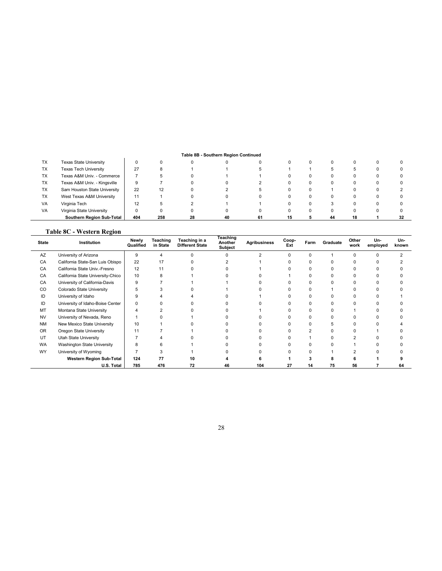#### Table 8B - Southern Region Continued

|           |                               |     |     |    | Table 8B - Southern Region Continued |    |  |    |    |    |
|-----------|-------------------------------|-----|-----|----|--------------------------------------|----|--|----|----|----|
| ТX        | <b>Texas State University</b> | 0   |     |    |                                      |    |  |    | 0  |    |
| TX        | <b>Texas Tech University</b>  | 27  |     |    |                                      |    |  |    |    |    |
| <b>TX</b> | Texas A&M Univ. - Commerce    |     |     |    |                                      |    |  |    |    |    |
| <b>TX</b> | Texas A&M Univ. - Kingsville  | 9   |     |    |                                      |    |  |    |    |    |
| <b>TX</b> | Sam Houston State University  | 22  | 12  |    |                                      |    |  |    |    |    |
| <b>TX</b> | West Texas A&M University     | 11  |     |    |                                      |    |  |    |    |    |
| VA        | Virginia Tech                 | 12  |     |    |                                      |    |  |    |    |    |
| VA        | Virginia State University     |     |     |    |                                      |    |  |    |    |    |
|           | Southern Region Sub-Total     | 404 | 258 | 28 | 40                                   | 61 |  | 44 | 18 | 32 |

#### Table 8C - Western Region

| <b>State</b> | Institution                       | Newly<br>Qualified | Teaching<br>in State | Teaching in a<br><b>Different State</b> | Teaching<br>Another<br><b>Subject</b> | <b>Agribusiness</b> | Coop-<br>Ext | Farm | Graduate | Other<br>work | Un-<br>employed | Un-<br>known |
|--------------|-----------------------------------|--------------------|----------------------|-----------------------------------------|---------------------------------------|---------------------|--------------|------|----------|---------------|-----------------|--------------|
| AZ           | University of Arizona             | 9                  |                      |                                         | $\Omega$                              |                     |              | O.   |          | $\Omega$      |                 |              |
| CA           | California State-San Luis Obispo  | 22                 | 17                   |                                         |                                       |                     |              | n    | U        |               |                 |              |
| CA           | California State Univ.-Fresno     | 12                 | 11                   |                                         |                                       |                     |              | n    |          |               |                 |              |
| CA           | California State University-Chico | 10                 |                      |                                         |                                       |                     |              |      | U        |               |                 |              |
| CA           | University of California-Davis    | 9                  |                      |                                         |                                       |                     |              | n    | U        |               |                 |              |
| CO           | Colorado State University         |                    |                      |                                         |                                       |                     |              | n    |          |               |                 |              |
| ID           | University of Idaho               |                    |                      |                                         |                                       |                     |              | O    | U        |               |                 |              |
| ID           | University of Idaho-Boise Center  |                    |                      |                                         |                                       |                     |              | ŋ    | U        |               |                 |              |
| MT           | Montana State University          |                    |                      |                                         |                                       |                     |              | n    | U        |               |                 |              |
| <b>NV</b>    | University of Nevada, Reno        |                    |                      |                                         |                                       |                     |              | n    | ŋ        |               |                 |              |
| <b>NM</b>    | New Mexico State University       | 10                 |                      |                                         |                                       |                     |              | n    |          |               |                 |              |
| <b>OR</b>    | Oregon State University           | 11                 |                      |                                         |                                       |                     |              |      |          |               |                 |              |
| UT           | Utah State University             |                    |                      |                                         |                                       |                     |              |      |          |               |                 |              |
| <b>WA</b>    | Washington State University       |                    |                      |                                         |                                       |                     |              |      |          |               |                 |              |
| WY           | University of Wyoming             |                    |                      |                                         |                                       |                     |              |      |          |               |                 |              |
|              | Western Region Sub-Total          | 124                | 77                   | 10                                      |                                       |                     |              |      |          |               |                 |              |
|              | U.S. Total                        | 785                | 476                  | 72                                      | 46                                    | 104                 | 27           | 14   | 75       | 56            |                 | 64           |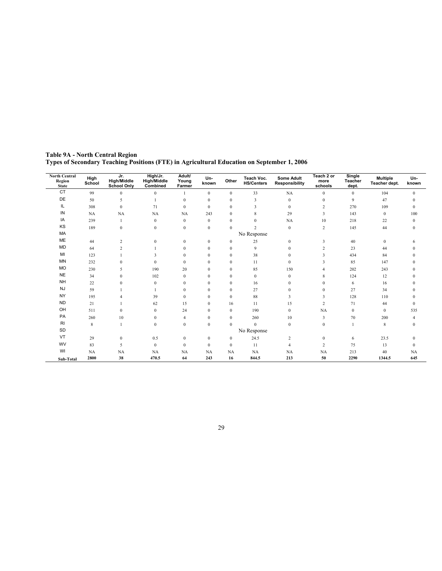| <b>North Central</b><br><b>Region</b><br><b>State</b> | High<br>School | Jr.<br><b>High/Middle</b><br><b>School Only</b> | High/Jr.<br>High/Middle<br>Combined | Adult/<br>Young<br>Farmer | Un-<br>known     | Other            | Teach Voc.<br><b>HS/Centers</b> | <b>Some Adult</b><br><b>Responsibility</b> | Teach 2 or<br>more<br>schools | Single<br>Teacher<br>dept. | <b>Multiple</b><br>Teacher dept. | Un-<br>known |
|-------------------------------------------------------|----------------|-------------------------------------------------|-------------------------------------|---------------------------|------------------|------------------|---------------------------------|--------------------------------------------|-------------------------------|----------------------------|----------------------------------|--------------|
| <b>CT</b>                                             | 99             | $\overline{0}$                                  | $\mathbf{0}$                        |                           | $\bf{0}$         | $\boldsymbol{0}$ | 33                              | NA                                         | $\mathbf{0}$                  | $\bf{0}$                   | 104                              | $\mathbf{0}$ |
| DE                                                    | 50             | 5                                               |                                     | $\mathbf{0}$              | $\bf{0}$         | $\bf{0}$         | 3                               | $\boldsymbol{0}$                           | $\mathbf{0}$                  | 9                          | 47                               | $\theta$     |
| IL                                                    | 308            | $\overline{0}$                                  | 71                                  | $\mathbf{0}$              | $\mathbf{0}$     | $\mathbf{0}$     | $\overline{\mathbf{3}}$         | $\mathbf{0}$                               | $\overline{c}$                | 270                        | 109                              | $\mathbf{0}$ |
| IN                                                    | <b>NA</b>      | NA                                              | NA                                  | NA                        | 243              | $\mathbf{0}$     | 8                               | 29                                         | 3                             | 143                        | $\mathbf{0}$                     | 100          |
| IA                                                    | 239            |                                                 | $\bf{0}$                            | $\bf{0}$                  | $\bf{0}$         | $\boldsymbol{0}$ | $\mathbf{0}$                    | NA                                         | 10                            | 218                        | 22                               | $\mathbf{0}$ |
| KS                                                    | 189            | $\mathbf{0}$                                    | $\mathbf{0}$                        | $\mathbf{0}$              | $\bf{0}$         | $\mathbf{0}$     | $\overline{c}$                  | $\mathbf{0}$                               | $\overline{2}$                | 145                        | 44                               | $\mathbf{0}$ |
| MA                                                    |                |                                                 |                                     |                           |                  |                  | No Response                     |                                            |                               |                            |                                  |              |
| ME                                                    | 44             | 2                                               | $\mathbf{0}$                        | $\boldsymbol{0}$          | $\bf{0}$         | $\bf{0}$         | 25                              | $\boldsymbol{0}$                           | 3                             | 40                         | $\boldsymbol{0}$                 | 6            |
| <b>MD</b>                                             | 64             | 2                                               |                                     | $\mathbf{0}$              | $\mathbf{0}$     | $\mathbf{0}$     | 9                               | $\mathbf{0}$                               | $\overline{c}$                | 23                         | 44                               | $\Omega$     |
| MI                                                    | 123            |                                                 | 3                                   | $\mathbf{0}$              | $\mathbf{0}$     | $\mathbf{0}$     | 38                              | $\mathbf{0}$                               | 3                             | 434                        | 84                               | $\Omega$     |
| MN                                                    | 232            | $\Omega$                                        | $\Omega$                            | $\mathbf{0}$              | $\mathbf{0}$     | $\mathbf{0}$     | 11                              | $\mathbf{0}$                               | 3                             | 85                         | 147                              |              |
| <b>MO</b>                                             | 230            | 5                                               | 190                                 | 20                        | $\mathbf{0}$     | $\boldsymbol{0}$ | 85                              | 150                                        |                               | 202                        | 243                              |              |
| <b>NE</b>                                             | 34             | $\mathbf{0}$                                    | 102                                 | $\mathbf{0}$              | $\mathbf{0}$     | $\mathbf{0}$     | $\mathbf{0}$                    | $\mathbf{0}$                               | 8                             | 124                        | 12                               |              |
| <b>NH</b>                                             | 22             | 0                                               | $\mathbf{0}$                        | $\mathbf{0}$              | $\bf{0}$         | $\mathbf{0}$     | 16                              | $\boldsymbol{0}$                           | $\Omega$                      | 6                          | 16                               | $\Omega$     |
| <b>NJ</b>                                             | 59             |                                                 |                                     | $\mathbf{0}$              | $\mathbf{0}$     | $\mathbf{0}$     | 27                              | $\mathbf{0}$                               | $\mathbf{0}$                  | 27                         | 34                               |              |
| <b>NY</b>                                             | 195            |                                                 | 39                                  | $\mathbf{0}$              | $\mathbf{0}$     | $\mathbf{0}$     | 88                              | 3                                          | 3                             | 128                        | 110                              | $\Omega$     |
| <b>ND</b>                                             | 21             |                                                 | 62                                  | 15                        | $\mathbf{0}$     | 16               | 11                              | 15                                         | 2                             | 71                         | 44                               | $\mathbf{0}$ |
| OH                                                    | 511            | $\Omega$                                        | $\mathbf{0}$                        | 24                        | $\mathbf{0}$     | $\mathbf{0}$     | 190                             | $\mathbf{0}$                               | NA                            | $\mathbf{0}$               | $\mathbf{0}$                     | 535          |
| PA                                                    | 260            | 10                                              | $\bf{0}$                            | $\overline{4}$            | $\bf{0}$         | $\bf{0}$         | 260                             | 10                                         | 3                             | 70                         | 200                              | 4            |
| RI                                                    | 8              |                                                 | $\mathbf{0}$                        | $\mathbf{0}$              | $\bf{0}$         | $\mathbf{0}$     | $\mathbf{0}$                    | $\mathbf{0}$                               | $\mathbf{0}$                  | $\mathbf{1}$               | 8                                | $\mathbf{0}$ |
| SD                                                    |                |                                                 |                                     |                           |                  |                  | No Response                     |                                            |                               |                            |                                  |              |
| VT                                                    | 29             | $\mathbf{0}$                                    | 0.5                                 | $\mathbf{0}$              | $\bf{0}$         | $\bf{0}$         | 24.5                            | 2                                          | $\mathbf{0}$                  | 6                          | 23.5                             | $\Omega$     |
| <b>WV</b>                                             | 83             | 5                                               | $\mathbf{0}$                        | $\mathbf{0}$              | $\boldsymbol{0}$ | $\bf{0}$         | 11                              | $\overline{4}$                             | 2                             | 75                         | 13                               | $\mathbf{0}$ |
| WI                                                    | <b>NA</b>      | NA                                              | <b>NA</b>                           | <b>NA</b>                 | <b>NA</b>        | NA               | NA                              | NA                                         | NA                            | 213                        | 40                               | <b>NA</b>    |
| Sub-Total                                             | 2800           | 38                                              | 470.5                               | 64                        | 243              | 16               | 844.5                           | 213                                        | 50                            | 2290                       | 1344.5                           | 645          |

Table 9A - North Central Region Types of Secondary Teaching Positions (FTE) in Agricultural Education on September 1, 2006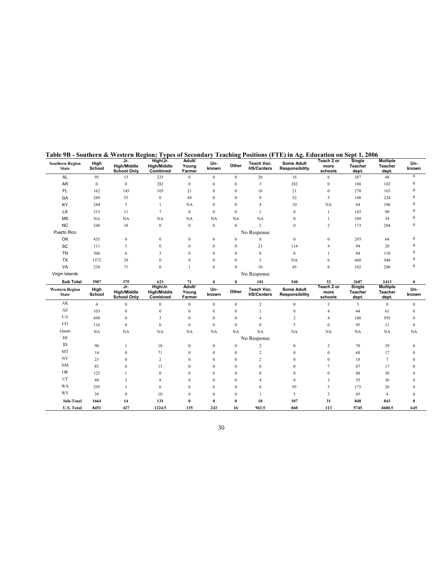| <b>Southern Region</b><br><b>State</b> | High<br>School   | Jr.<br><b>High/Middle</b><br><b>School Only</b> | − J F<br>High/Jr.<br><b>High/Middle</b><br>Combined | .<br>Adult/<br>Young<br>Farmer | Un-<br>known     | Other            | $0.01$ $0.020$ $(0.000)$<br>Teach Voc.<br><b>HS/Centers</b> | <br>Some Adult<br>Responsibility | .<br>Teach 2 or<br>more<br>schools | $\cdots$<br>Single<br>Teacher<br>dept. | <b>Multiple</b><br>Teacher<br>dept. | Un-<br>known |
|----------------------------------------|------------------|-------------------------------------------------|-----------------------------------------------------|--------------------------------|------------------|------------------|-------------------------------------------------------------|----------------------------------|------------------------------------|----------------------------------------|-------------------------------------|--------------|
| <b>AL</b>                              | 95               | 15                                              | 225                                                 | $\bf{0}$                       | $\bf{0}$         | $\mathbf{0}$     | 20                                                          | 16                               | 6                                  | 287                                    | 48                                  | $\mathbf{0}$ |
| AR                                     | $\boldsymbol{0}$ | $\bf{0}$                                        | 282                                                 | $\bf{0}$                       | $\boldsymbol{0}$ | $\mathbf{0}$     | 3                                                           | 282                              | $\bf{0}$                           | 180                                    | 102                                 | $\theta$     |
| FL                                     | 162              | 145                                             | 105                                                 | 21                             | $\mathbf{0}$     | $\mathbf{0}$     | 16                                                          | 21                               | $\mathbf{0}$                       | 270                                    | 163                                 | $\theta$     |
| GA                                     | 269              | 53                                              | $\boldsymbol{0}$                                    | 49                             | $\mathbf{0}$     | $\mathbf{0}$     | 9                                                           | 52                               | 5                                  | 148                                    | 224                                 | $\theta$     |
| KY                                     | 244              | 5                                               | 1                                                   | <b>NA</b>                      | $\mathbf{0}$     | $\mathbf{0}$     | 4                                                           | 10                               | <b>NA</b>                          | 64                                     | 186                                 |              |
| LA                                     | 215              | 11                                              | $\overline{7}$                                      | $\bf{0}$                       | $\mathbf{0}$     | $\boldsymbol{0}$ | 1                                                           | $\mathbf{0}$                     | 1                                  | 143                                    | 90                                  | $\Omega$     |
| <b>MS</b>                              | NA               | $_{\rm NA}$                                     | <b>NA</b>                                           | NA                             | NA               | <b>NA</b>        | <b>NA</b>                                                   | $\mathbf{0}$                     | $\mathbf{1}$                       | 109                                    | 54                                  |              |
| NC                                     | 340              | 38                                              | $\boldsymbol{0}$                                    | $\boldsymbol{0}$               | $\boldsymbol{0}$ | $\mathbf{0}$     | $\overline{c}$                                              | $\mathbf{0}$                     | $\overline{c}$                     | 173                                    | 204                                 | $\theta$     |
| Puerto Rico                            |                  |                                                 |                                                     |                                |                  |                  | No Response                                                 |                                  |                                    |                                        |                                     |              |
| OK                                     | 435              | $\bf{0}$                                        | $\bf{0}$                                            | $\boldsymbol{0}$               | $\bf{0}$         | $\bf{0}$         | $\boldsymbol{0}$                                            | $\boldsymbol{0}$                 | $\bf{0}$                           | 293                                    | 64                                  | $\Omega$     |
| SC                                     | 111              | 3                                               | $\mathbf{0}$                                        | $\mathbf{0}$                   | $\bf{0}$         | $\mathbf{0}$     | 23                                                          | 114                              | $\overline{4}$                     | 94                                     | 20                                  |              |
| <b>TN</b>                              | 306              | 6                                               | 3                                                   | $\mathbf{0}$                   | $\mathbf{0}$     | $\mathbf{0}$     | 8                                                           | $\boldsymbol{0}$                 | 1                                  | 84                                     | 110                                 |              |
| TX                                     | 1572             | 28                                              | $\mathbf{0}$                                        | $\mathbf{0}$                   | $\mathbf{0}$     | $\mathbf{0}$     | 5                                                           | NA                               | 6                                  | 660                                    | 940                                 | $\theta$     |
| VA                                     | 238              | 71                                              | $\mathbf{0}$                                        | $\mathbf{1}$                   | $\mathbf{0}$     | $\mathbf{0}$     | 10                                                          | 45                               | 6                                  | 102                                    | 208                                 | $\mathbf{0}$ |
| Virgin Islands                         |                  |                                                 |                                                     |                                |                  |                  | No Response                                                 |                                  |                                    |                                        |                                     |              |
| <b>Sub Total</b>                       | 3987             | 375                                             | 623                                                 | 71                             | $\bf{0}$         | $\bf{0}$         | 101                                                         | 540                              | 32                                 | 2607                                   | 2413                                | $\bf{0}$     |
| <b>Western Region</b><br><b>State</b>  | High<br>School   | Jr.<br><b>High/Middle</b><br><b>School Only</b> | High/Jr.<br><b>High/Middle</b><br>Combined          | Adult/<br>Young<br>Farmer      | Un-<br>known     | Other            | Teach Voc.<br><b>HS/Centers</b>                             | Some Adult<br>Responsibility     | Teach 2 or<br>more<br>schools      | Single<br>Teacher<br>dept.             | <b>Multiple</b><br>Teacher<br>dept. | Un-<br>known |
| AK                                     | $\overline{4}$   | $\mathbf{0}$                                    | $\mathbf{0}$                                        | $\mathbf{0}$                   | $\mathbf{0}$     | $\mathbf{0}$     | $\overline{c}$                                              | $\mathbf{0}$                     | 3                                  | 3                                      | $\mathbf{0}$                        | $\mathbf{0}$ |
| $\mathbf{A}\mathbf{Z}$                 | 103              | $\mathbf{0}$                                    | $\boldsymbol{0}$                                    | $\boldsymbol{0}$               | $\boldsymbol{0}$ | $\mathbf{0}$     | $\mathbf{1}$                                                | $\boldsymbol{0}$                 | $\overline{4}$                     | 44                                     | 61                                  | $\mathbf{0}$ |
| CA                                     | 690              | $\mathbf{0}$                                    | 3                                                   | $\boldsymbol{0}$               | $\mathbf{0}$     | $\mathbf{0}$     | 4                                                           | $\boldsymbol{2}$                 | 4                                  | 100                                    | 593                                 | $\mathbf{0}$ |
| $_{\rm CO}$                            | 116              | $\mathbf{0}$                                    | $\mathbf{0}$                                        | $\mathbf{0}$                   | $\mathbf{0}$     | $\mathbf{0}$     | $\mathbf{0}$                                                | 5                                | $\mathbf{0}$                       | 95                                     | 11                                  | $\mathbf{0}$ |
| Guam                                   | NA               | NA                                              | NA                                                  | NA                             | NA               | NA               | NA                                                          | NA                               | NA                                 | NA                                     | <b>NA</b>                           | NA           |
| H                                      |                  |                                                 |                                                     |                                |                  |                  | No Response                                                 |                                  |                                    |                                        |                                     |              |
| ID                                     | 90               |                                                 | 18                                                  | $\boldsymbol{0}$               | $\bf{0}$         | $\bf{0}$         | $\overline{c}$                                              | $\boldsymbol{0}$                 | $\overline{c}$                     | 70                                     | 39                                  | $\Omega$     |
| MT                                     | 14               | $\mathbf{0}$                                    | 71                                                  | $\mathbf{0}$                   | $\boldsymbol{0}$ | $\mathbf{0}$     | $\overline{c}$                                              | $\mathbf{0}$                     | $\boldsymbol{0}$                   | 68                                     | 17                                  | $\Omega$     |
| $\ensuremath{\text{NV}}$               | 23               | $\Omega$                                        | $\overline{c}$                                      | $\theta$                       | $\Omega$         | $\overline{0}$   | $\overline{c}$                                              | $\theta$                         | $\mathbf{0}$                       | 18                                     | 7                                   | $\Omega$     |
| $\rm{NM}$                              | 85               | 6                                               | 13                                                  | $\Omega$                       | $\Omega$         | $\Omega$         | $\theta$                                                    | $\theta$                         | 7                                  | 87                                     | 17                                  |              |
| <b>OR</b>                              | 125              |                                                 | $\mathbf{0}$                                        | $\mathbf{0}$                   | $\mathbf{0}$     | $\overline{0}$   | $\mathbf{0}$                                                | $\theta$                         | $\mathbf{0}$                       | $88\,$                                 | 38                                  |              |
| UT                                     | 80               | 3                                               | 8                                                   | $\mathbf{0}$                   | $\mathbf{0}$     | $\overline{0}$   | $\overline{4}$                                              | $\mathbf{0}$                     | 3                                  | 55                                     | 36                                  | O            |
| WA                                     | 295              | 3                                               | 6                                                   | $\mathbf{0}$                   | $\mathbf{0}$     | $\overline{0}$   | $\mathbf{0}$                                                | 95                               | 5                                  | 175                                    | $20\,$                              | $\Omega$     |
| WY                                     | 39               | $\mathbf{0}$                                    | 10                                                  | $\mathbf{0}$                   | $\Omega$         | $\mathbf{0}$     | $\mathbf{1}$                                                | 5                                | 3                                  | 45                                     | $\overline{4}$                      | $\Omega$     |
| Sub-Total                              |                  |                                                 |                                                     |                                |                  |                  |                                                             |                                  |                                    |                                        |                                     |              |
|                                        | 1664             | 14                                              | 131                                                 | $\pmb{0}$                      | $\bf{0}$         | $\bf{0}$         | 18                                                          | 107                              | 31                                 | 848                                    | 843                                 | $\theta$     |

#### Table 9B - Southern & Western Region; Types of Secondary Teaching Positions (FTE) in Ag. Education on Sept 1, 2006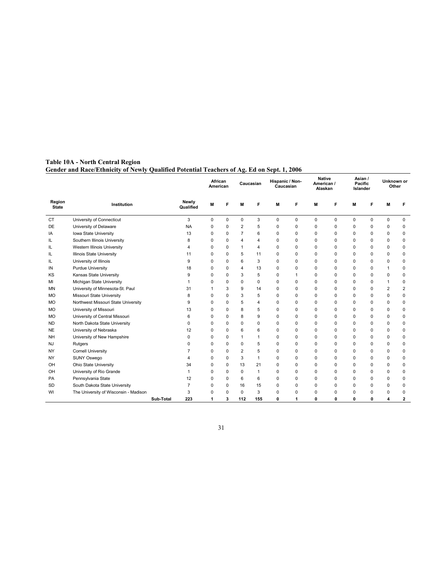#### Table 10A - North Central Region Gender and Race/Ethnicity of Newly Qualified Potential Teachers of Ag. Ed on Sept. 1, 2006

|                        |                                       |           |                    |          |             | Caucasian      |              | Hispanic / Non-<br>Caucasian |             | <b>Native</b><br>American /<br>Alaskan |             | Asian /<br>Pacific<br>Islander |          | Unknown or<br>Other |                         |
|------------------------|---------------------------------------|-----------|--------------------|----------|-------------|----------------|--------------|------------------------------|-------------|----------------------------------------|-------------|--------------------------------|----------|---------------------|-------------------------|
| Region<br><b>State</b> | Institution                           |           | Newly<br>Qualified | M        | F           | M              | F            | M                            | F           | M                                      | F           | M                              | F        | M                   | F                       |
| <b>CT</b>              | University of Connecticut             |           | 3                  | 0        | $\mathbf 0$ | $\mathbf 0$    | 3            | 0                            | 0           | 0                                      | $\mathbf 0$ | 0                              | $\Omega$ | 0                   | 0                       |
| <b>DE</b>              | University of Delaware                |           | <b>NA</b>          | 0        | $\mathbf 0$ | $\overline{2}$ | 5            | 0                            | 0           | 0                                      | 0           | 0                              | $\Omega$ | 0                   | 0                       |
| IA                     | Iowa State University                 |           | 13                 | 0        | $\Omega$    | $\overline{7}$ | 6            | $\Omega$                     | $\Omega$    | $\Omega$                               | $\Omega$    | $\Omega$                       | $\Omega$ | 0                   | $\mathbf 0$             |
| IL                     | Southern Illinois University          |           | 8                  | 0        | 0           | 4              | 4            | $\Omega$                     | $\Omega$    | $\Omega$                               | 0           | $\Omega$                       | $\Omega$ | 0                   | 0                       |
| IL                     | Western Illinois University           |           | 4                  | 0        | 0           | $\mathbf{1}$   | 4            | $\Omega$                     | $\Omega$    | $\Omega$                               | $\Omega$    | $\Omega$                       | $\Omega$ | 0                   | 0                       |
| IL                     | <b>Illinois State University</b>      |           | 11                 | $\Omega$ | $\Omega$    | 5              | 11           | $\Omega$                     | $\Omega$    | $\Omega$                               | $\Omega$    | $\Omega$                       | $\Omega$ | $\Omega$            | $\mathbf 0$             |
| IL                     | University of Illinois                |           | 9                  | $\Omega$ | $\mathbf 0$ | 6              | 3            | $\Omega$                     | $\Omega$    | $\Omega$                               | $\Omega$    | $\Omega$                       | $\Omega$ | 0                   | $\mathbf 0$             |
| IN                     | Purdue University                     |           | 18                 | $\Omega$ | $\Omega$    | $\overline{4}$ | 13           | $\Omega$                     | $\Omega$    | $\Omega$                               | 0           | $\Omega$                       | $\Omega$ | 1                   | 0                       |
| KS                     | Kansas State University               |           | 9                  | $\Omega$ | $\Omega$    | 3              | 5            | $\Omega$                     | 1           | $\Omega$                               | 0           | $\Omega$                       | $\Omega$ | 0                   | $\mathbf 0$             |
| MI                     | Michigan State University             |           | 1                  | $\Omega$ | 0           | $\mathbf 0$    | $\Omega$     | $\Omega$                     | $\Omega$    | $\Omega$                               | 0           | $\Omega$                       | $\Omega$ | 1                   | $\mathbf 0$             |
| MN                     | University of Minnesota-St. Paul      |           | 31                 | 1        | 3           | 9              | 14           | $\Omega$                     | $\Omega$    | $\Omega$                               | $\Omega$    | $\Omega$                       | $\Omega$ | 2                   | $\overline{\mathbf{c}}$ |
| <b>MO</b>              | Missouri State University             |           | 8                  | 0        | 0           | 3              | 5            | $\Omega$                     | $\Omega$    | $\Omega$                               | 0           | $\Omega$                       | $\Omega$ | 0                   | 0                       |
| <b>MO</b>              | Northwest Missouri State University   |           | 9                  | 0        | $\Omega$    | 5              | 4            | $\Omega$                     | $\Omega$    | $\Omega$                               | $\Omega$    | $\Omega$                       | $\Omega$ | 0                   | 0                       |
| <b>MO</b>              | University of Missouri                |           | 13                 | $\Omega$ | $\Omega$    | 8              | 5            | $\Omega$                     | $\Omega$    | $\Omega$                               | $\Omega$    | $\Omega$                       | $\Omega$ | $\Omega$            | $\mathbf 0$             |
| <b>MO</b>              | University of Central Missouri        |           | 6                  | $\Omega$ | $\mathbf 0$ | 8              | 9            | $\Omega$                     | $\Omega$    | $\Omega$                               | $\Omega$    | $\Omega$                       | $\Omega$ | 0                   | $\mathbf 0$             |
| <b>ND</b>              | North Dakota State University         |           | 0                  | 0        | 0           | $\mathbf 0$    | 0            | 0                            | $\Omega$    | $\Omega$                               | 0           | $\Omega$                       | $\Omega$ | 0                   | 0                       |
| <b>NE</b>              | University of Nebraska                |           | 12                 | $\Omega$ | $\Omega$    | 6              | 6            | 0                            | $\Omega$    | $\Omega$                               | $\Omega$    | 0                              | $\Omega$ | $\Omega$            | $\mathbf 0$             |
| <b>NH</b>              | University of New Hampshire           |           | $\Omega$           | $\Omega$ | $\Omega$    | $\mathbf{1}$   | 1            | 0                            | $\Omega$    | $\Omega$                               | $\Omega$    | 0                              | $\Omega$ | 0                   | $\mathbf 0$             |
| <b>NJ</b>              | Rutgers                               |           | $\Omega$           | 0        | 0           | $\mathbf 0$    | 5            | $\Omega$                     | $\Omega$    | $\Omega$                               | $\Omega$    | $\Omega$                       | $\Omega$ | $\Omega$            | $\mathbf 0$             |
| NY                     | <b>Cornell University</b>             |           | $\overline{7}$     | 0        | $\Omega$    | $\overline{2}$ | 5            | $\Omega$                     | $\Omega$    | $\Omega$                               | $\Omega$    | $\Omega$                       | $\Omega$ | $\Omega$            | $\mathbf 0$             |
| <b>NY</b>              | SUNY Oswego                           |           | 4                  | 0        | 0           | 3              | 1            | $\Omega$                     | 0           | 0                                      | 0           | $\Omega$                       | $\Omega$ | 0                   | $\mathbf 0$             |
| OH                     | Ohio State University                 |           | 34                 | 0        | $\mathbf 0$ | 13             | 21           | 0                            | $\mathbf 0$ | $\mathbf 0$                            | 0           | $\Omega$                       | $\Omega$ | 0                   | $\mathbf 0$             |
| OH                     | University of Rio Grande              |           | 1                  | $\Omega$ | $\Omega$    | $\Omega$       | $\mathbf{1}$ | 0                            | $\Omega$    | $\Omega$                               | $\Omega$    | $\Omega$                       | $\Omega$ | $\Omega$            | $\mathbf 0$             |
| PA                     | Pennsylvania State                    |           | 12                 | 0        | $\mathbf 0$ | 6              | 6            | $\Omega$                     | $\Omega$    | $\Omega$                               | $\Omega$    | $\Omega$                       | $\Omega$ | 0                   | 0                       |
| <b>SD</b>              | South Dakota State University         |           | $\overline{7}$     | $\Omega$ | $\Omega$    | 16             | 15           | $\Omega$                     | $\Omega$    | $\Omega$                               | 0           | $\Omega$                       | $\Omega$ | $\Omega$            | 0                       |
| WI                     | The University of Wisconsin - Madison |           | 3                  | $\Omega$ | $\Omega$    | $\Omega$       | 3            | $\Omega$                     | $\Omega$    | $\Omega$                               | 0           | $\Omega$                       | $\Omega$ | 0                   | 0                       |
|                        |                                       | Sub-Total | 223                | 1        | 3           | 112            | 155          | 0                            | 1           | 0                                      | O           | 0                              | 0        | 4                   | 2                       |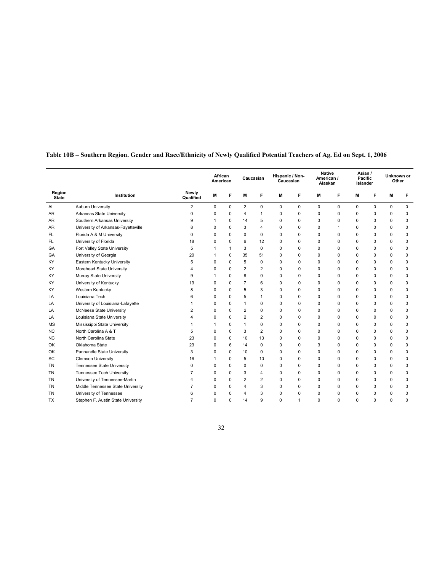|                        |                                     |                    | African<br>American |          | Caucasian      |                | Hispanic / Non-<br>Caucasian |             | <b>Native</b><br>American /<br>Alaskan |              | Asian /<br>Pacific<br>Islander |          | Unknown or<br>Other |             |
|------------------------|-------------------------------------|--------------------|---------------------|----------|----------------|----------------|------------------------------|-------------|----------------------------------------|--------------|--------------------------------|----------|---------------------|-------------|
| Region<br><b>State</b> | Institution                         | Newly<br>Qualified | M                   | F        | M              | F              | M                            | F           | M                                      | F            | M                              | F        | M                   | F           |
| AL                     | Auburn University                   | 2                  | $\mathbf 0$         | 0        | $\overline{2}$ | 0              | $\mathbf 0$                  | $\mathbf 0$ | $\mathbf 0$                            | $\mathbf 0$  | 0                              | $\Omega$ | $\mathbf 0$         | $\mathbf 0$ |
| AR                     | Arkansas State University           | 0                  | 0                   | $\Omega$ | $\overline{4}$ | 1              | $\Omega$                     | $\Omega$    | $\Omega$                               | $\Omega$     | $\Omega$                       | $\Omega$ | $\Omega$            | $\mathbf 0$ |
| AR                     | Southern Arkansas University        | 9                  | -1                  | 0        | 14             | 5              | $\mathbf 0$                  | $\Omega$    | $\Omega$                               | 0            | 0                              | 0        | 0                   | $\mathbf 0$ |
| AR                     | University of Arkansas-Fayetteville | 8                  | 0                   | 0        | 3              | 4              | $\mathbf 0$                  | $\Omega$    | 0                                      | $\mathbf{1}$ | 0                              | 0        | 0                   | $\mathbf 0$ |
| FL                     | Florida A & M University            | $\Omega$           | $\Omega$            | $\Omega$ | $\Omega$       | $\Omega$       | $\Omega$                     | $\Omega$    | $\Omega$                               | $\Omega$     | $\Omega$                       | $\Omega$ | $\Omega$            | $\mathbf 0$ |
| FL                     | University of Florida               | 18                 | $\Omega$            | $\Omega$ | 6              | 12             | $\Omega$                     | $\Omega$    | $\Omega$                               | $\Omega$     | $\Omega$                       | $\Omega$ | $\Omega$            | 0           |
| GA                     | Fort Valley State University        | 5                  | $\mathbf{1}$        | 1        | 3              | 0              | $\mathbf 0$                  | $\Omega$    | $\Omega$                               | $\Omega$     | $\Omega$                       | $\Omega$ | $\Omega$            | $\mathbf 0$ |
| GA                     | University of Georgia               | 20                 | $\mathbf{1}$        | $\Omega$ | 35             | 51             | $\Omega$                     | $\Omega$    | $\Omega$                               | $\Omega$     | $\Omega$                       | $\Omega$ | $\Omega$            | $\mathbf 0$ |
| KY                     | Eastern Kentucky University         | 5                  | $\Omega$            | $\Omega$ | 5              | $\Omega$       | $\Omega$                     | $\Omega$    | $\Omega$                               | $\Omega$     | $\Omega$                       | $\Omega$ | $\Omega$            | $\mathbf 0$ |
| KY                     | Morehead State University           | 4                  | $\Omega$            | $\Omega$ | 2              | $\overline{2}$ | $\Omega$                     | $\Omega$    | $\Omega$                               | 0            | $\Omega$                       | $\Omega$ | $\Omega$            | $\Omega$    |
| KY                     | Murray State University             | 9                  | $\mathbf{1}$        | $\Omega$ | 8              | $\Omega$       | $\Omega$                     | $\Omega$    | $\Omega$                               | 0            | $\Omega$                       | $\Omega$ | $\Omega$            | $\mathbf 0$ |
| KY                     | University of Kentucky              | 13                 | $\Omega$            | $\Omega$ | $\overline{7}$ | 6              | $\Omega$                     | $\Omega$    | $\Omega$                               | $\Omega$     | $\Omega$                       | $\Omega$ | $\Omega$            | $\mathbf 0$ |
| KY                     | Western Kentucky                    | 8                  | 0                   | $\Omega$ | 5              | 3              | $\Omega$                     | $\Omega$    | $\Omega$                               | $\mathbf 0$  | $\Omega$                       | 0        | 0                   | $\mathbf 0$ |
| LA                     | Louisiana Tech                      | 6                  | $\Omega$            | $\Omega$ | 5              | 1              | $\Omega$                     | $\Omega$    | $\Omega$                               | $\Omega$     | $\Omega$                       | $\Omega$ | $\Omega$            | $\mathbf 0$ |
| LA                     | University of Louisiana-Lafayette   | 1                  | 0                   | $\Omega$ | $\mathbf{1}$   | 0              | $\mathbf 0$                  | $\Omega$    | $\Omega$                               | $\Omega$     | $\Omega$                       | $\Omega$ | $\Omega$            | $\mathbf 0$ |
| LA                     | McNeese State University            | 2                  | $\Omega$            | $\Omega$ | $\overline{2}$ | 0              | $\mathbf 0$                  | $\Omega$    | $\Omega$                               | $\Omega$     | $\Omega$                       | $\Omega$ | 0                   | $\mathbf 0$ |
| LA                     | Louisiana State University          | 4                  | $\Omega$            | $\Omega$ | $\overline{2}$ | $\overline{2}$ | $\mathbf 0$                  | $\Omega$    | $\Omega$                               | $\Omega$     | $\Omega$                       | $\Omega$ | $\Omega$            | $\mathbf 0$ |
| <b>MS</b>              | Mississippi State University        | 1                  | 1                   | $\Omega$ | $\mathbf{1}$   | 0              | $\mathbf 0$                  | $\Omega$    | $\Omega$                               | $\Omega$     | 0                              | $\Omega$ | 0                   | $\mathbf 0$ |
| <b>NC</b>              | North Carolina A & T                | 5                  | 0                   | $\Omega$ | 3              | $\overline{2}$ | $\Omega$                     | $\Omega$    | $\Omega$                               | $\Omega$     | 0                              | 0        | 0                   | $\mathbf 0$ |
| <b>NC</b>              | North Carolina State                | 23                 | 0                   | $\Omega$ | 10             | 13             | $\mathbf 0$                  | $\Omega$    | $\Omega$                               | $\Omega$     | $\Omega$                       | 0        | 0                   | $\mathbf 0$ |
| OK                     | Oklahoma State                      | 23                 | 0                   | 6        | 14             | $\Omega$       | $\Omega$                     | $\Omega$    | 3                                      | $\Omega$     | $\Omega$                       | $\Omega$ | $\Omega$            | $\mathbf 0$ |
| OK                     | Panhandle State University          | 3                  | 0                   | $\Omega$ | 10             | 0              | $\mathbf 0$                  | $\Omega$    | $\Omega$                               | $\Omega$     | $\Omega$                       | $\Omega$ | 0                   | $\mathbf 0$ |
| SC                     | <b>Clemson University</b>           | 16                 | $\mathbf{1}$        | $\Omega$ | 5              | 10             | $\Omega$                     | $\Omega$    | $\Omega$                               | $\Omega$     | $\Omega$                       | $\Omega$ | $\Omega$            | $\mathbf 0$ |
| <b>TN</b>              | Tennessee State University          | $\Omega$           | 0                   | $\Omega$ | $\mathbf 0$    | $\Omega$       | $\Omega$                     | $\Omega$    | $\Omega$                               | $\Omega$     | $\Omega$                       | $\Omega$ | 0                   | $\mathbf 0$ |
| <b>TN</b>              | <b>Tennessee Tech University</b>    | 7                  | 0                   | $\Omega$ | 3              | 4              | $\Omega$                     | $\Omega$    | $\Omega$                               | $\Omega$     | $\Omega$                       | $\Omega$ | $\Omega$            | 0           |
| TN                     | University of Tennessee-Martin      | 4                  | $\Omega$            | $\Omega$ | $\overline{2}$ | 2              | $\Omega$                     | $\Omega$    | $\Omega$                               | $\Omega$     | $\Omega$                       | $\Omega$ | $\Omega$            | $\Omega$    |
| TN                     | Middle Tennessee State University   | 7                  | $\Omega$            | $\Omega$ | 4              | 3              | $\Omega$                     | $\Omega$    | $\Omega$                               | $\Omega$     | $\Omega$                       | $\Omega$ | $\Omega$            | $\mathbf 0$ |
| <b>TN</b>              | University of Tennessee             | 6                  | 0                   | $\Omega$ | 4              | 3              | $\Omega$                     | $\Omega$    | $\Omega$                               | $\Omega$     | $\Omega$                       | $\Omega$ | $\Omega$            | $\mathbf 0$ |
| TX                     | Stephen F. Austin State University  | $\overline{7}$     | $\Omega$            | $\Omega$ | 14             | 9              | $\Omega$                     | 1           | $\Omega$                               | $\Omega$     | $\Omega$                       | $\Omega$ | 0                   | $\Omega$    |

#### Table 10B – Southern Region. Gender and Race/Ethnicity of Newly Qualified Potential Teachers of Ag. Ed on Sept. 1, 2006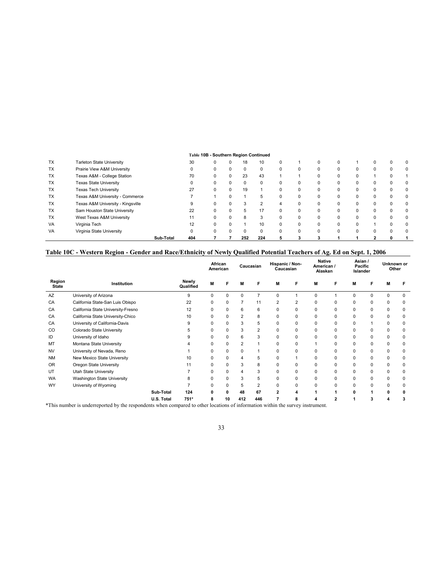#### Table 10B - Southern Region Continued TX Tarleton State University 30 0 0 18 10 0 1 0 0 1 0 0 0 0 0 1 TX Prairie View A&M University 0 0 0 0 0 0 0 0 0 0 0 0 0 TX Texas A&M - College Station 70 0 0 23 43 1 1 0 0 0 1 0 1 TX Texas State University 0 0 0 0 0 0 0 0 0 0 0 0 0 TX Texas Tech University 27 0 0 19 1 0 0 0 0 0 0 0 0 TX Texas A&M University - Commerce 7 1 0 1 5 0 0 0 0 0 0 0 0 TX Texas A&M University - Kingsville 9 0 0 3 2 4 0 0 0 0 0 0 0 TX Sam Houston State University 22 0 0 5 17 0 0 0 0 0 0 0 0 TX West Texas A&M University 11 0 0 8 3 0 0 0 0 0 0 0 0 VA Virginia Tech 12 0 0 1 10 0 0 0 0 0 1 0 0 VA Virginia State University 0 0 0 0 0 0 0 0 0 0 0 0 0 Sub-Total 404 7 7 252 224 5 3 3 1 1 2 0 1

#### Table 10C - Western Region - Gender and Race/Ethnicity of Newly Qualified Potential Teachers of Ag. Ed on Sept. 1, 2006

|                        |                                    |            |                    | African<br>American |          |                | Caucasian      | Hispanic / Non-<br>Caucasian |                | <b>Native</b><br>American /<br>Alaskan |          | Asian /<br>Pacific<br>Islander |          | Unknown or<br>Other |          |
|------------------------|------------------------------------|------------|--------------------|---------------------|----------|----------------|----------------|------------------------------|----------------|----------------------------------------|----------|--------------------------------|----------|---------------------|----------|
| Region<br><b>State</b> | Institution                        |            | Newly<br>Qualified | M                   |          | M              | F              | M                            | F              | M                                      | F        | M                              |          | М                   |          |
| AZ                     | University of Arizona              |            | 9                  | $\Omega$            | $\Omega$ | $\Omega$       | $\overline{7}$ | $\Omega$                     |                | $\Omega$                               |          | $\Omega$                       | ŋ        | $\Omega$            | O        |
| CA                     | California State-San Luis Obispo   |            | 22                 | $\Omega$            | $\Omega$ | $\overline{7}$ | 11             | $\overline{2}$               | $\overline{2}$ | $\Omega$                               | $\Omega$ | $\Omega$                       | $\Omega$ | $\Omega$            | 0        |
| CA                     | California State University-Fresno |            | 12                 | $\Omega$            | 0        | 6              | 6              | $\Omega$                     | 0              | 0                                      | 0        | $\Omega$                       | $\Omega$ | $\mathbf 0$         | $\Omega$ |
| CA                     | California State University-Chico  |            | 10                 | 0                   | $\Omega$ | $\overline{2}$ | 8              | $\Omega$                     | 0              | $\Omega$                               | $\Omega$ | 0                              | $\Omega$ | $\mathbf 0$         | $\Omega$ |
| CA                     | University of California-Davis     |            | 9                  | $\Omega$            | 0        | 3              | 5              | 0                            | 0              | 0                                      | 0        | $\Omega$                       |          | 0                   | $\Omega$ |
| CO                     | Colorado State University          |            | 5                  | 0                   | $\Omega$ | 3              | $\overline{2}$ | 0                            | 0              | $\Omega$                               | $\Omega$ | $\Omega$                       | ŋ        | $\Omega$            | 0        |
| ID                     | University of Idaho                |            | 9                  | $\Omega$            | $\Omega$ | 6              | 3              | $\Omega$                     | 0              | $\Omega$                               | 0        | $\Omega$                       | 0        | $\mathbf 0$         | $\Omega$ |
| MT                     | Montana State University           |            |                    | $\Omega$            | $\Omega$ | $\overline{2}$ |                | $\Omega$                     | 0              |                                        | $\Omega$ | $\Omega$                       | $\Omega$ | 0                   | $\Omega$ |
| <b>NV</b>              | University of Nevada, Reno         |            |                    | $\Omega$            | $\Omega$ | 0              |                | 0                            | 0              | $\Omega$                               | $\Omega$ | $\Omega$                       | 0        | $\Omega$            | 0        |
| <b>NM</b>              | New Mexico State University        |            | 10                 | $\Omega$            | $\Omega$ | 4              | 5              | $\Omega$                     |                | $\Omega$                               | $\Omega$ | 0                              | $\Omega$ | $\Omega$            | 0        |
| <b>OR</b>              | Oregon State University            |            | 11                 | $\Omega$            | $\Omega$ | 3              | 8              | 0                            | 0              | 0                                      | $\Omega$ | 0                              | $\Omega$ | $\Omega$            | 0        |
| UT                     | Utah State University              |            |                    | $\Omega$            | $\Omega$ | 4              | 3              | $\Omega$                     | 0              | $\Omega$                               | $\Omega$ | $\Omega$                       | 0        | $\Omega$            | 0        |
| WA                     | Washington State University        |            | 8                  | $\Omega$            | $\Omega$ | 3              | 5              | $\Omega$                     | 0              | $\Omega$                               | 0        | $\Omega$                       | 0        | $\Omega$            | 0        |
| WY                     | University of Wyoming              |            |                    | $\Omega$            | 0        | 5              | $\overline{2}$ | $\Omega$                     | 0              | 0                                      | $\Omega$ | $\Omega$                       | 0        | 0                   | 0        |
|                        |                                    | Sub-Total  | 124                | ŋ                   | 0        | 48             | 67             | 2                            | 4              |                                        |          | ŋ                              |          | 0                   | o        |
|                        |                                    | U.S. Total | 751*               | 8                   | 10       | 412            | 446            |                              | 8              |                                        | 2        |                                |          |                     |          |

\*This number is underreported by the respondents when compared to other locations of information within the survey instrument.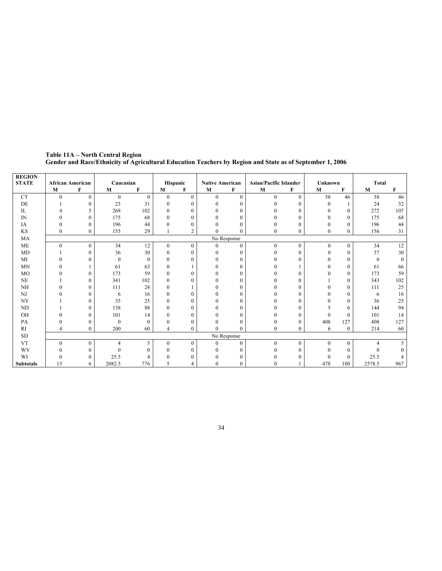| <b>REGION</b>            |                         |                |              |          |                |                |                        |              |                               |                  |                |              |              |     |
|--------------------------|-------------------------|----------------|--------------|----------|----------------|----------------|------------------------|--------------|-------------------------------|------------------|----------------|--------------|--------------|-----|
| <b>STATE</b>             | <b>African American</b> |                | Caucasian    |          |                | Hispanic       | <b>Native American</b> |              | <b>Asian/Pacific Islander</b> |                  | <b>Unknown</b> |              | <b>Total</b> |     |
|                          | $\bf M$                 | $\mathbf{F}$   | M            | F        | $\mathbf{M}$   | F              | M                      | F            | M                             | F                | $\mathbf{M}$   | F            | M            | F   |
| <b>CT</b>                | $\mathbf{0}$            | $\theta$       | $\mathbf{0}$ | $\theta$ | $\theta$       | $\theta$       | $\theta$               | $\Omega$     | $\Omega$                      | $\theta$         | 58             | 46           | 58           | 46  |
| DE                       |                         | $\theta$       | 23           | 31       | 0              | $\Omega$       | $\Omega$               | $\Omega$     | 0                             | $\theta$         | $\Omega$       |              | 24           | 32  |
| $_{\rm IL}$              |                         | 5              | 268          | 102      | 0              | $\Omega$       | $\Omega$               | $\theta$     |                               | $\theta$         | $\overline{0}$ | $\theta$     | 272          | 107 |
| IN                       |                         | $\theta$       | 175          | 68       | 0              | $\Omega$       |                        | 0            |                               | 0                | 0              | $\Omega$     | 175          | 68  |
| IA                       | $\Omega$                | $\theta$       | 196          | 44       | 0              | $\Omega$       | $\Omega$               | $\Omega$     |                               | $\theta$         | 0              | $\Omega$     | 196          | 44  |
| KS                       | $\theta$                | $\overline{0}$ | 155          | 29       |                | $\mathbf{2}$   |                        | $\theta$     | $\theta$                      | $\mathbf{0}$     | $\overline{0}$ | $\mathbf{0}$ | 156          | 31  |
| MA                       |                         |                |              |          |                |                |                        | No Response  |                               |                  |                |              |              |     |
| <b>ME</b>                | $\theta$                | $\overline{0}$ | 34           | 12       | $\overline{0}$ | $\overline{0}$ | $\Omega$               | $\Omega$     | $\Omega$                      | $\mathbf{0}$     | $\overline{0}$ | $\mathbf{0}$ | 34           | 12  |
| MD                       |                         | $\theta$       | 36           | 30       | $\Omega$       | $\Omega$       | $\Omega$               | $\Omega$     | 0                             | $\mathbf{0}$     | $\Omega$       | $\theta$     | 37           | 30  |
| MI                       |                         | $\theta$       | $\mathbf{0}$ | $\theta$ | 0              | $\Omega$       | 0                      | $\theta$     |                               | $\Omega$         | 0              | $\Omega$     | $\theta$     |     |
| <b>MN</b>                |                         |                | 61           | 63       | $^{\prime}$    |                | $\Omega$               | 0            |                               |                  | 0              | $\mathbf{0}$ | 61           | 66  |
| <b>MO</b>                |                         | $\Omega$       | 173          | 59       | 0              | $\Omega$       | 0                      | $\Omega$     |                               | $\Omega$         | 0              | $\Omega$     | 173          | 59  |
| NE                       |                         | $\Omega$       | 341          | 102      | 0              | $\Omega$       |                        | $\Omega$     |                               | 0                |                | $\mathbf{0}$ | 343          | 102 |
| <b>NH</b>                | 0                       | $\theta$       | 111          | 24       | $\Omega$       |                | $\Omega$               | $\Omega$     |                               | $\theta$         | 0              | $\mathbf{0}$ | 111          | 25  |
| NJ                       |                         | $\Omega$       | 6            | 16       | 0              | $\Omega$       | 0                      | $\Omega$     |                               | $\theta$         | 0              | $\Omega$     | 6            | 16  |
| $\ensuremath{\text{NY}}$ |                         | $\Omega$       | 35           | 25       | 0              | $\overline{0}$ | $\Omega$               | $\theta$     |                               | $\mathbf{0}$     | $\overline{0}$ | $\mathbf{0}$ | 36           | 25  |
| ND                       |                         | $\theta$       | 138          | 88       | 0              | $\Omega$       | 0                      | $\Omega$     |                               | $\theta$         | 5              | 6            | 144          | 94  |
| OH                       | $\Omega$                | $\Omega$       | 101          | 14       | 0              | $\Omega$       | $\Omega$               |              |                               | $\theta$         | $\Omega$       | $\Omega$     | 101          | 14  |
| PA                       |                         | $\Omega$       | $\mathbf{0}$ | $\Omega$ | $\Omega$       | $\Omega$       |                        | $\theta$     |                               | $\mathbf{0}$     | 408            | 127          | 408          | 127 |
| RI                       |                         | $\overline{0}$ | 200          | 60       | 4              | $\overline{0}$ |                        | $\theta$     | $\theta$                      | $\boldsymbol{0}$ | 6              | $\bf{0}$     | 214          | 60  |
| <b>SD</b>                |                         |                |              |          |                |                |                        | No Response  |                               |                  |                |              |              |     |
| <b>VT</b>                | $\theta$                | $\overline{0}$ | 4            | 5        | $\overline{0}$ | $\overline{0}$ | $\Omega$               | $\mathbf{0}$ | $\theta$                      | $\mathbf{0}$     | $\Omega$       | $\mathbf{0}$ | 4            |     |
| WV                       | $\Omega$                | $\mathbf{0}$   | $\theta$     | $\theta$ | $\Omega$       | $\Omega$       | $\Omega$               | 0            |                               | $\Omega$         | $\Omega$       | $\mathbf{0}$ | $\Omega$     |     |
| WI                       | 0                       | $\theta$       | 25.5         | 4        |                | $\Omega$       |                        |              |                               | 0                | 0              | $\theta$     | 25.5         |     |
| <b>Subtotals</b>         | 13                      | 6              | 2082.5       | 776      | 5              |                |                        | $\mathbf{0}$ |                               |                  | 478            | 180          | 2578.5       | 967 |

Table 11A – North Central Region Gender and Race/Ethnicity of Agricultural Education Teachers by Region and State as of September 1, 2006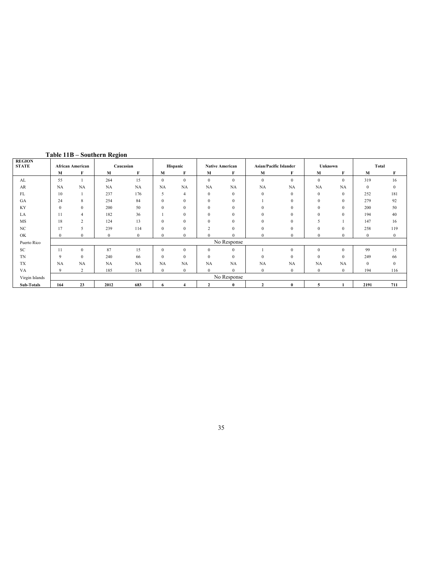| <b>REGION</b>  |              |                         |              |              |                  |                |               |                        |                               |              |              |              |              |              |
|----------------|--------------|-------------------------|--------------|--------------|------------------|----------------|---------------|------------------------|-------------------------------|--------------|--------------|--------------|--------------|--------------|
| <b>STATE</b>   |              | <b>African American</b> |              | Caucasian    |                  | Hispanic       |               | <b>Native American</b> | <b>Asian/Pacific Islander</b> |              | Unknown      |              | Total        |              |
|                | M            | F                       | M            | F            | M                | F              | M             | F                      | M                             | F            | М            | F            | M            | F            |
| AL             | 55           |                         | 264          | 15           | $\mathbf{0}$     | $\mathbf{0}$   | $\mathbf{0}$  | $\mathbf{0}$           | $\mathbf{0}$                  | $\mathbf{0}$ | $\mathbf{0}$ | $\theta$     | 319          | 16           |
| AR             | <b>NA</b>    | NA                      | <b>NA</b>    | <b>NA</b>    | NA               | NA             | <b>NA</b>     | NA                     | NA                            | NA           | NA           | NA           | $\mathbf{0}$ | $\mathbf{0}$ |
| FL             | 10           |                         | 237          | 176          | 5                | $\overline{4}$ | $\mathbf{0}$  | $\mathbf{0}$           | $\mathbf{0}$                  | $\mathbf{0}$ | $\mathbf{0}$ | $\mathbf{0}$ | 252          | 181          |
| GA             | 24           | 8                       | 254          | 84           | $\boldsymbol{0}$ | $\mathbf{0}$   | $\mathbf{0}$  | $\mathbf{0}$           |                               | $\mathbf{0}$ | $\mathbf{0}$ | $\mathbf{0}$ | 279          | 92           |
| KY             | $\mathbf{0}$ | $\Omega$                | 200          | 50           | $\mathbf{0}$     | $\mathbf{0}$   | $\mathbf{0}$  | $\overline{0}$         | $\mathbf{0}$                  | $\theta$     | $\mathbf{0}$ | $\theta$     | 200          | 50           |
| LA             | 11           | $\overline{4}$          | 182          | 36           |                  | $\mathbf{0}$   | $\mathbf{0}$  | $\overline{0}$         | $\mathbf{0}$                  | $\mathbf{0}$ | $\mathbf{0}$ | $\theta$     | 194          | 40           |
| MS             | 18           | 2                       | 124          | 13           | $\boldsymbol{0}$ | $\mathbf{0}$   | $\mathbf{0}$  | $\overline{0}$         | $\mathbf{0}$                  | $\Omega$     | 5            |              | 147          | 16           |
| NC             | 17           | 5                       | 239          | 114          | $\mathbf{0}$     | $\mathbf{0}$   | $\mathcal{L}$ | $\overline{0}$         | $\mathbf{0}$                  | $\Omega$     | $\mathbf{0}$ | $\Omega$     | 258          | 119          |
| OK             | $\theta$     | $\mathbf{0}$            | $\mathbf{0}$ | $\mathbf{0}$ | $\mathbf{0}$     | $\mathbf{0}$   | $\Omega$      | $\Omega$               | $\mathbf{0}$                  | $\mathbf{0}$ | $\mathbf{0}$ | $\Omega$     | $\mathbf{0}$ | $\mathbf{0}$ |
| Puerto Rico    |              |                         |              |              |                  |                |               | No Response            |                               |              |              |              |              |              |
| SC             | 11           | $\mathbf{0}$            | 87           | 15           | $\mathbf{0}$     | $\mathbf{0}$   | $\mathbf{0}$  | $\overline{0}$         |                               | $\Omega$     | $\mathbf{0}$ | $\mathbf{0}$ | 99           | 15           |
| <b>TN</b>      | 9            | $\mathbf{0}$            | 240          | 66           | $\mathbf{0}$     | $\mathbf{0}$   | $\mathbf{0}$  | $\mathbf{0}$           | $\mathbf{0}$                  | $\Omega$     | $\mathbf{0}$ | $\theta$     | 249          | 66           |
| TX             | <b>NA</b>    | NA                      | <b>NA</b>    | NA           | NA               | NA             | <b>NA</b>     | NA                     | NA                            | NA           | NA           | NA           | $\mathbf{0}$ | $\mathbf{0}$ |
| VA             | 9            | 2                       | 185          | 114          | $\mathbf{0}$     | $\mathbf{0}$   | $\theta$      | $\Omega$               | $\theta$                      | $\mathbf{0}$ | $\mathbf{0}$ | $\Omega$     | 194          | 116          |
| Virgin Islands |              |                         |              |              |                  |                |               | No Response            |                               |              |              |              |              |              |
| Sub-Totals     | 164          | 23                      | 2012         | 683          | 6                | $\overline{4}$ | $\mathbf{2}$  | $\bf{0}$               | $\overline{2}$                | $\bf{0}$     | 5            |              | 2191         | 711          |

Table 11B – Southern Region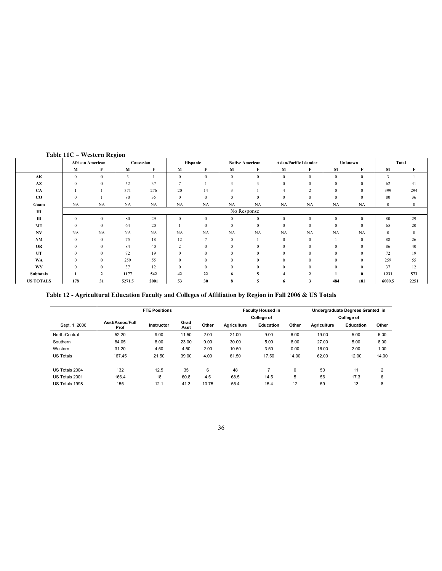|                  | <b>African American</b> |                | Caucasian               |           | Hispanic       |               | <b>Native American</b> |              | <b>Asian/Pacific Islander</b> |              | Unknown      |              |              | Total        |
|------------------|-------------------------|----------------|-------------------------|-----------|----------------|---------------|------------------------|--------------|-------------------------------|--------------|--------------|--------------|--------------|--------------|
|                  | $\mathbf M$             | F              | М                       | F         | M              | F             | $\mathbf M$            | F            | М                             | F            | М            | F            | M            | F            |
| AK               | $\mathbf{0}$            | $\mathbf{0}$   | $\overline{\mathbf{3}}$ |           | $\mathbf{0}$   | $\mathbf{0}$  | $\theta$               | $\mathbf{0}$ | $\mathbf{0}$                  | $\theta$     | $\mathbf{0}$ | $\mathbf{0}$ | 3            |              |
| AZ               | $\mathbf{0}$            | $\Omega$       | 52                      | 37        | $\overline{7}$ |               |                        |              | $\mathbf{0}$                  | $\Omega$     | $\mathbf{0}$ | $\mathbf{0}$ | 62           | 41           |
| CA               |                         |                | 371                     | 276       | 20             | 14            | 3                      |              | $\overline{4}$                | $\sim$       | $\Omega$     | $\mathbf{0}$ | 399          | 294          |
| $_{\rm CO}$      | $\mathbf{0}$            |                | 80                      | 35        | $\mathbf{0}$   | $\mathbf{0}$  | $\Omega$               | $\Omega$     | $\mathbf{0}$                  | $\Omega$     | $\Omega$     | $\Omega$     | 80           | 36           |
| Guam             | <b>NA</b>               | <b>NA</b>      | NA                      | <b>NA</b> | NA             | NA            | NA                     | <b>NA</b>    | NA                            | <b>NA</b>    | <b>NA</b>    | <b>NA</b>    | $\mathbf{0}$ | $\mathbf{0}$ |
| ΗΙ               |                         | No Response    |                         |           |                |               |                        |              |                               |              |              |              |              |              |
| $\mathbf{ID}$    | $\mathbf{0}$            | $\mathbf{0}$   | 80                      | 29        | $\mathbf{0}$   | $\mathbf{0}$  | $\Omega$               | $\mathbf{0}$ | $\mathbf{0}$                  | $\mathbf{0}$ | $\mathbf{0}$ | $\theta$     | 80           | 29           |
| MT               | $\mathbf{0}$            | $\mathbf{0}$   | 64                      | 20        |                | $\mathbf{0}$  | $\theta$               | $\mathbf{0}$ | $\mathbf{0}$                  | $\Omega$     | $\mathbf{0}$ | $\mathbf{0}$ | 65           | $20\,$       |
| N V              | <b>NA</b>               | <b>NA</b>      | NA                      | NA        | <b>NA</b>      | NA            | <b>NA</b>              | NA           | <b>NA</b>                     | <b>NA</b>    | <b>NA</b>    | <b>NA</b>    | $\bf{0}$     | $\bf{0}$     |
| NM               | $\mathbf{0}$            | $\theta$       | 75                      | 18        | 12             | $\mathcal{I}$ | $\theta$               |              | $\mathbf{0}$                  | $\Omega$     |              | $\mathbf{0}$ | 88           | 26           |
| OR               | $\mathbf{0}$            | $\Omega$       | 84                      | 40        | 2              | $\mathbf{0}$  | $\theta$               | $\mathbf{0}$ | $\mathbf{0}$                  | $\Omega$     | $\Omega$     | $\mathbf{0}$ | 86           | 40           |
| UT               | $\Omega$                | $\Omega$       | 72                      | 19        | $\Omega$       | $\Omega$      |                        | $\Omega$     | $\mathbf{0}$                  | $\Omega$     | $\Omega$     | $\Omega$     | 72           | 19           |
| <b>WA</b>        | $\Omega$                | $\Omega$       | 259                     | 55        | $\Omega$       | $\theta$      |                        | $\Omega$     | $\mathbf{0}$                  | $\Omega$     | $\Omega$     | $\Omega$     | 259          | 55           |
| WY               | $\Omega$                | $\Omega$       | 37                      | 12        | $\Omega$       | $\theta$      |                        | $\Omega$     | $\theta$                      | $\Omega$     | $\Omega$     | $\Omega$     | 37           | 12           |
| <b>Subtotals</b> |                         | $\mathfrak{p}$ | 1177                    | 542       | 42             | 22            |                        |              | 4                             |              |              | $\mathbf{0}$ | 1231         | 573          |
| <b>US TOTALS</b> | 178                     | 31             | 5271.5                  | 2001      | 53             | 30            | 8                      | 5            | 6                             | 3            | 484          | 181          | 6000.5       | 2251         |

#### Table 11C – Western Region

Table 12 - Agricultural Education Faculty and Colleges of Affiliation by Region in Fall 2006 & US Totals

|                  |                         | <b>FTE Positions</b> |              |       |                    | <b>Faculty Housed in</b><br><b>College of</b> | Undergraduate Degrees Granted in<br>College of |                    |           |                |  |
|------------------|-------------------------|----------------------|--------------|-------|--------------------|-----------------------------------------------|------------------------------------------------|--------------------|-----------|----------------|--|
| Sept. 1, 2006    | Asst/Assoc/Full<br>Prof | Instructor           | Grad<br>Asst | Other | <b>Agriculture</b> | Education                                     | Other                                          | <b>Agriculture</b> | Education | Other          |  |
| North-Central    | 52.20                   | 9.00                 | 11.50        | 2.00  | 21.00              | 9.00                                          | 6.00                                           | 19.00              | 5.00      | 5.00           |  |
| Southern         | 84.05                   | 8.00                 | 23.00        | 0.00  | 30.00              | 5.00                                          | 8.00                                           | 27.00              | 5.00      | 8.00           |  |
| Western          | 31.20                   | 4.50                 | 4.50         | 2.00  | 10.50              | 3.50                                          | 0.00                                           | 16.00              | 2.00      | 1.00           |  |
| <b>US Totals</b> | 167.45                  | 21.50                | 39.00        | 4.00  | 61.50              | 17.50                                         | 14.00                                          | 62.00              | 12.00     | 14.00          |  |
| US Totals 2004   | 132                     | 12.5                 | 35           | 6     | 48                 | 7                                             | 0                                              | 50                 | 11        | $\overline{2}$ |  |
| US Totals 2001   | 166.4                   | 18                   | 60.8         | 4.5   | 68.5               | 14.5                                          | 5                                              | 56                 | 17.3      | 6              |  |
| US Totals 1998   | 155                     | 12.1                 | 41.3         | 10.75 | 55.4               | 15.4                                          | 12                                             | 59                 | 13        | 8              |  |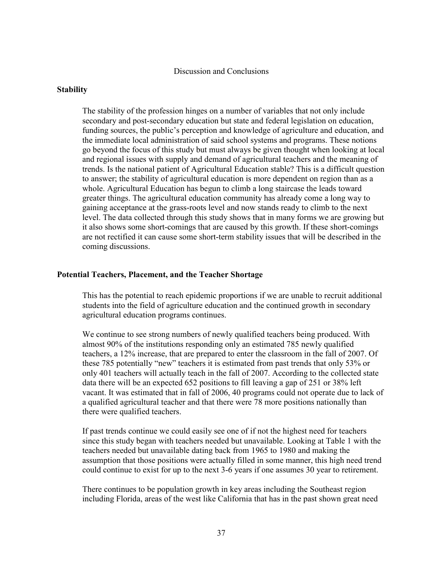#### Discussion and Conclusions

#### **Stability**

The stability of the profession hinges on a number of variables that not only include secondary and post-secondary education but state and federal legislation on education, funding sources, the public's perception and knowledge of agriculture and education, and the immediate local administration of said school systems and programs. These notions go beyond the focus of this study but must always be given thought when looking at local and regional issues with supply and demand of agricultural teachers and the meaning of trends. Is the national patient of Agricultural Education stable? This is a difficult question to answer; the stability of agricultural education is more dependent on region than as a whole. Agricultural Education has begun to climb a long staircase the leads toward greater things. The agricultural education community has already come a long way to gaining acceptance at the grass-roots level and now stands ready to climb to the next level. The data collected through this study shows that in many forms we are growing but it also shows some short-comings that are caused by this growth. If these short-comings are not rectified it can cause some short-term stability issues that will be described in the coming discussions.

#### Potential Teachers, Placement, and the Teacher Shortage

This has the potential to reach epidemic proportions if we are unable to recruit additional students into the field of agriculture education and the continued growth in secondary agricultural education programs continues.

We continue to see strong numbers of newly qualified teachers being produced. With almost 90% of the institutions responding only an estimated 785 newly qualified teachers, a 12% increase, that are prepared to enter the classroom in the fall of 2007. Of these 785 potentially "new" teachers it is estimated from past trends that only 53% or only 401 teachers will actually teach in the fall of 2007. According to the collected state data there will be an expected 652 positions to fill leaving a gap of 251 or 38% left vacant. It was estimated that in fall of 2006, 40 programs could not operate due to lack of a qualified agricultural teacher and that there were 78 more positions nationally than there were qualified teachers.

If past trends continue we could easily see one of if not the highest need for teachers since this study began with teachers needed but unavailable. Looking at Table 1 with the teachers needed but unavailable dating back from 1965 to 1980 and making the assumption that those positions were actually filled in some manner, this high need trend could continue to exist for up to the next 3-6 years if one assumes 30 year to retirement.

There continues to be population growth in key areas including the Southeast region including Florida, areas of the west like California that has in the past shown great need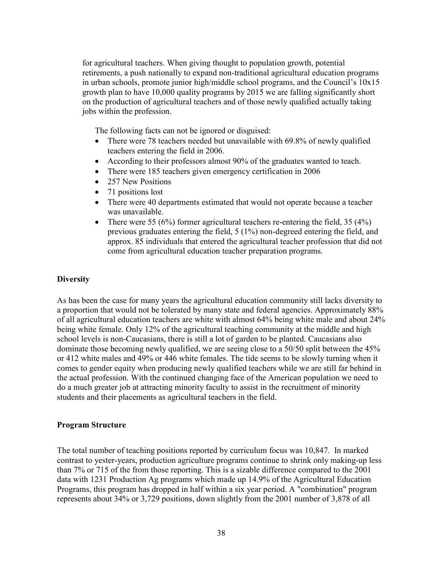for agricultural teachers. When giving thought to population growth, potential retirements, a push nationally to expand non-traditional agricultural education programs in urban schools, promote junior high/middle school programs, and the Council's  $10x15$ growth plan to have 10,000 quality programs by 2015 we are falling significantly short on the production of agricultural teachers and of those newly qualified actually taking jobs within the profession.

The following facts can not be ignored or disguised:

- There were 78 teachers needed but unavailable with 69.8% of newly qualified teachers entering the field in 2006.
- According to their professors almost 90% of the graduates wanted to teach.
- There were 185 teachers given emergency certification in 2006
- 257 New Positions
- 71 positions lost
- There were 40 departments estimated that would not operate because a teacher was unavailable.
- There were 55 (6%) former agricultural teachers re-entering the field, 35 (4%) previous graduates entering the field, 5 (1%) non-degreed entering the field, and approx. 85 individuals that entered the agricultural teacher profession that did not come from agricultural education teacher preparation programs.

#### **Diversity**

As has been the case for many years the agricultural education community still lacks diversity to a proportion that would not be tolerated by many state and federal agencies. Approximately 88% of all agricultural education teachers are white with almost 64% being white male and about 24% being white female. Only 12% of the agricultural teaching community at the middle and high school levels is non-Caucasians, there is still a lot of garden to be planted. Caucasians also dominate those becoming newly qualified, we are seeing close to a 50/50 split between the 45% or 412 white males and 49% or 446 white females. The tide seems to be slowly turning when it comes to gender equity when producing newly qualified teachers while we are still far behind in the actual profession. With the continued changing face of the American population we need to do a much greater job at attracting minority faculty to assist in the recruitment of minority students and their placements as agricultural teachers in the field.

#### Program Structure

The total number of teaching positions reported by curriculum focus was 10,847. In marked contrast to yester-years, production agriculture programs continue to shrink only making-up less than 7% or 715 of the from those reporting. This is a sizable difference compared to the 2001 data with 1231 Production Ag programs which made up 14.9% of the Agricultural Education Programs, this program has dropped in half within a six year period. A "combination" program represents about 34% or 3,729 positions, down slightly from the 2001 number of 3,878 of all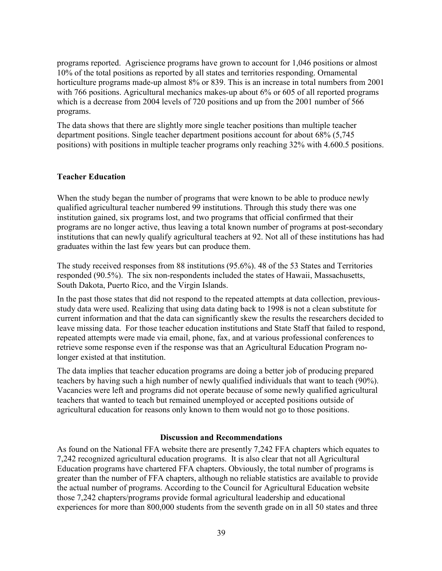programs reported. Agriscience programs have grown to account for 1,046 positions or almost 10% of the total positions as reported by all states and territories responding. Ornamental horticulture programs made-up almost 8% or 839. This is an increase in total numbers from 2001 with 766 positions. Agricultural mechanics makes-up about 6% or 605 of all reported programs which is a decrease from 2004 levels of 720 positions and up from the 2001 number of 566 programs.

The data shows that there are slightly more single teacher positions than multiple teacher department positions. Single teacher department positions account for about 68% (5,745 positions) with positions in multiple teacher programs only reaching 32% with 4.600.5 positions.

#### Teacher Education

When the study began the number of programs that were known to be able to produce newly qualified agricultural teacher numbered 99 institutions. Through this study there was one institution gained, six programs lost, and two programs that official confirmed that their programs are no longer active, thus leaving a total known number of programs at post-secondary institutions that can newly qualify agricultural teachers at 92. Not all of these institutions has had graduates within the last few years but can produce them.

The study received responses from 88 institutions (95.6%). 48 of the 53 States and Territories responded (90.5%). The six non-respondents included the states of Hawaii, Massachusetts, South Dakota, Puerto Rico, and the Virgin Islands.

In the past those states that did not respond to the repeated attempts at data collection, previousstudy data were used. Realizing that using data dating back to 1998 is not a clean substitute for current information and that the data can significantly skew the results the researchers decided to leave missing data. For those teacher education institutions and State Staff that failed to respond, repeated attempts were made via email, phone, fax, and at various professional conferences to retrieve some response even if the response was that an Agricultural Education Program nolonger existed at that institution.

The data implies that teacher education programs are doing a better job of producing prepared teachers by having such a high number of newly qualified individuals that want to teach (90%). Vacancies were left and programs did not operate because of some newly qualified agricultural teachers that wanted to teach but remained unemployed or accepted positions outside of agricultural education for reasons only known to them would not go to those positions.

#### Discussion and Recommendations

As found on the National FFA website there are presently 7,242 FFA chapters which equates to 7,242 recognized agricultural education programs. It is also clear that not all Agricultural Education programs have chartered FFA chapters. Obviously, the total number of programs is greater than the number of FFA chapters, although no reliable statistics are available to provide the actual number of programs. According to the Council for Agricultural Education website those 7,242 chapters/programs provide formal agricultural leadership and educational experiences for more than 800,000 students from the seventh grade on in all 50 states and three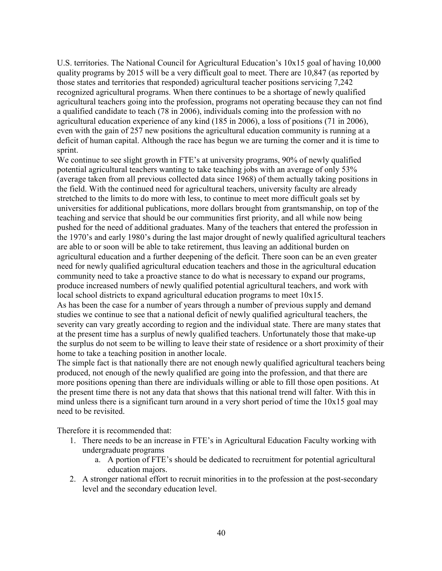U.S. territories. The National Council for Agricultural Education's 10x15 goal of having 10,000 quality programs by 2015 will be a very difficult goal to meet. There are 10,847 (as reported by those states and territories that responded) agricultural teacher positions servicing 7,242 recognized agricultural programs. When there continues to be a shortage of newly qualified agricultural teachers going into the profession, programs not operating because they can not find a qualified candidate to teach (78 in 2006), individuals coming into the profession with no agricultural education experience of any kind (185 in 2006), a loss of positions (71 in 2006), even with the gain of 257 new positions the agricultural education community is running at a deficit of human capital. Although the race has begun we are turning the corner and it is time to sprint.

We continue to see slight growth in FTE's at university programs, 90% of newly qualified potential agricultural teachers wanting to take teaching jobs with an average of only 53% (average taken from all previous collected data since 1968) of them actually taking positions in the field. With the continued need for agricultural teachers, university faculty are already stretched to the limits to do more with less, to continue to meet more difficult goals set by universities for additional publications, more dollars brought from grantsmanship, on top of the teaching and service that should be our communities first priority, and all while now being pushed for the need of additional graduates. Many of the teachers that entered the profession in the 1970's and early 1980's during the last major drought of newly qualified agricultural teachers are able to or soon will be able to take retirement, thus leaving an additional burden on agricultural education and a further deepening of the deficit. There soon can be an even greater need for newly qualified agricultural education teachers and those in the agricultural education community need to take a proactive stance to do what is necessary to expand our programs, produce increased numbers of newly qualified potential agricultural teachers, and work with local school districts to expand agricultural education programs to meet 10x15. As has been the case for a number of years through a number of previous supply and demand studies we continue to see that a national deficit of newly qualified agricultural teachers, the severity can vary greatly according to region and the individual state. There are many states that at the present time has a surplus of newly qualified teachers. Unfortunately those that make-up the surplus do not seem to be willing to leave their state of residence or a short proximity of their

home to take a teaching position in another locale.

The simple fact is that nationally there are not enough newly qualified agricultural teachers being produced, not enough of the newly qualified are going into the profession, and that there are more positions opening than there are individuals willing or able to fill those open positions. At the present time there is not any data that shows that this national trend will falter. With this in mind unless there is a significant turn around in a very short period of time the  $10x15$  goal may need to be revisited.

Therefore it is recommended that:

- 1. There needs to be an increase in FTE's in Agricultural Education Faculty working with undergraduate programs
	- a. A portion of FTE's should be dedicated to recruitment for potential agricultural education majors.
- 2. A stronger national effort to recruit minorities in to the profession at the post-secondary level and the secondary education level.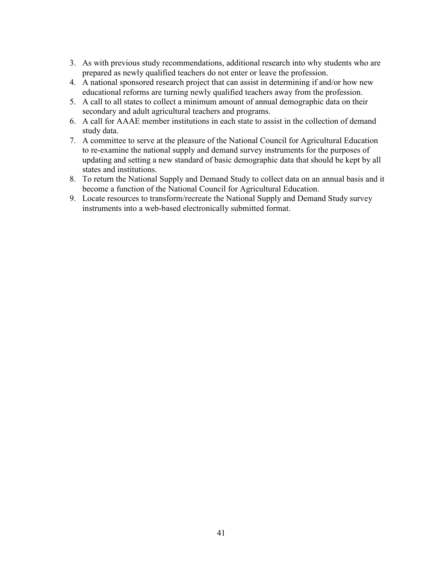- 3. As with previous study recommendations, additional research into why students who are prepared as newly qualified teachers do not enter or leave the profession.
- 4. A national sponsored research project that can assist in determining if and/or how new educational reforms are turning newly qualified teachers away from the profession.
- 5. A call to all states to collect a minimum amount of annual demographic data on their secondary and adult agricultural teachers and programs.
- 6. A call for AAAE member institutions in each state to assist in the collection of demand study data.
- 7. A committee to serve at the pleasure of the National Council for Agricultural Education to re-examine the national supply and demand survey instruments for the purposes of updating and setting a new standard of basic demographic data that should be kept by all states and institutions.
- 8. To return the National Supply and Demand Study to collect data on an annual basis and it become a function of the National Council for Agricultural Education.
- 9. Locate resources to transform/recreate the National Supply and Demand Study survey instruments into a web-based electronically submitted format.